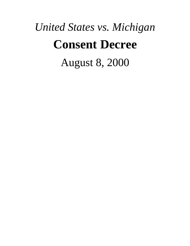# *United States vs. Michigan* **Consent Decree** August 8, 2000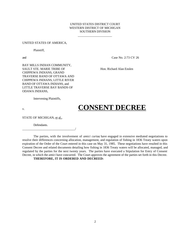#### UNITED STATES DISTRICT COURT WESTERN DISTRICT OF MICHIGAN SOUTHERN DIVISION

\_\_\_\_\_\_\_\_\_\_\_\_\_\_\_\_\_\_\_\_\_\_

#### UNITED STATES OF AMERICA,

Plaintiff,

and Case No. 2:73 CV 26

BAY MILLS INDIAN COMMUNITY, SAULT STE. MARIE TRIBE OF Hon. Richard Alan Enslen CHIPPEWA INDIANS, GRAND TRAVERSE BAND OF OTTAWA AND CHIPPEWA INDIANS, LITTLE RIVER BAND OF OTTAWA INDIANS, and LITTLE TRAVERSE BAY BANDS OF ODAWA INDIANS,

Intervening Plaintiffs,

\_\_\_\_\_\_\_\_\_\_\_\_\_\_\_\_\_\_\_\_\_\_\_\_\_\_\_\_\_\_\_\_\_\_/

# v. **CONSENT DECREE**

STATE OF MICHIGAN, et al.,

Defendants.

The parties, with the involvement of *amici curiae*, have engaged in extensive mediated negotiations to resolve their differences concerning allocation, management, and regulation of fishing in 1836 Treaty waters upon expiration of the Order of the Court entered in this case on May 31, 1985. These negotiations have resulted in this Consent Decree and related documents detailing how fishing in 1836 Treaty waters will be allocated, managed, and regulated by the parties for the next twenty years. The parties have executed a Stipulation for Entry of Consent Decree, in which the *amici* have concurred. The Court approves the agreement of the parties set forth in this Decree.

#### **THEREFORE, IT IS ORDERED AND DECREED:**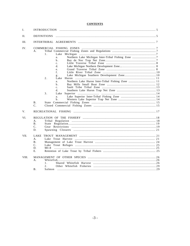#### **CONTENTS**

| Ι.    | <b>INTRODUCTION</b>                                                                                                                                                                                                |  |
|-------|--------------------------------------------------------------------------------------------------------------------------------------------------------------------------------------------------------------------|--|
| Η.    | <b>DEFINITIONS</b>                                                                                                                                                                                                 |  |
| III.  |                                                                                                                                                                                                                    |  |
| IV.   | Α.<br>1.<br>a.<br>b.<br>$\mathbf{c}$ .<br>d.<br>e.<br>$f_{\perp}$<br>g.<br>2.<br>Lake<br>a <sub>x</sub><br>$\mathbf b$ .<br>$\mathbf{c}$ .<br>d.<br>3.<br>Lake<br>a.<br>$\mathbf b$ .<br><b>B</b> .<br>$C_{\cdot}$ |  |
| V.    |                                                                                                                                                                                                                    |  |
| VI.   | A.<br><b>B</b> .<br>$\mathbf{C}$ .<br>D.                                                                                                                                                                           |  |
| VII.  | LAKE<br>A.<br><b>B</b> .<br>$\mathbf{C}$ .<br>D.<br>E.                                                                                                                                                             |  |
| VIII. | А.<br>1.<br>2.<br>В.                                                                                                                                                                                               |  |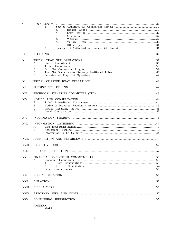| $\mathbf{C}$ . | 1.<br>a.           |  |  |
|----------------|--------------------|--|--|
|                | $\mathbf{b}$ .     |  |  |
|                | $c$ .              |  |  |
|                | d.                 |  |  |
|                | e.                 |  |  |
|                | $f_{\perp}$        |  |  |
|                | 2.                 |  |  |
| IX.            |                    |  |  |
| X.             |                    |  |  |
|                | A.                 |  |  |
|                | <b>B</b> .         |  |  |
|                | $C_{\cdot}$<br>D.  |  |  |
|                | Е.                 |  |  |
|                |                    |  |  |
| XI.            |                    |  |  |
| XII.           |                    |  |  |
| XIII.          |                    |  |  |
| XIV.           |                    |  |  |
|                | А.                 |  |  |
|                | B <sub>1</sub>     |  |  |
|                | C.<br>D.           |  |  |
| XV.            |                    |  |  |
|                |                    |  |  |
| XVI.           |                    |  |  |
|                | А.                 |  |  |
|                | <b>B</b> .<br>C.   |  |  |
|                |                    |  |  |
| XVII.          |                    |  |  |
| XVIII.         |                    |  |  |
| XIX.           |                    |  |  |
| XX.            |                    |  |  |
|                | А.                 |  |  |
|                | 1.<br>2.           |  |  |
|                | <b>B</b> .         |  |  |
|                |                    |  |  |
| XXI.           |                    |  |  |
| XXII.          | <b>DURATION</b>    |  |  |
| XXIII.         | <b>DISCLAIMERS</b> |  |  |
| XXIV.          |                    |  |  |
| XXV.           |                    |  |  |
|                | <b>APPENDIX</b>    |  |  |

**MAPS**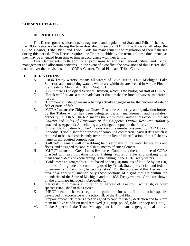#### **CONSENT DECREE**

#### **I. INTRODUCTION.**

This Decree governs allocation, management, and regulation of State and Tribal fisheries in the 1836 Treaty waters during the term described in section XXII. The Tribes shall adopt the CORA Charter, Tribal Plan, and Tribal Code for management and regulation of their fisheries during this period. This Decree requires the Tribes to abide by the terms of these documents, as they may be amended from time to time in accordance with their terms.

This Decree sets forth additional provisions to address Federal, State, and Tribal management and allocation concerns. In the event of a conflict, the provisions of this Decree shall control over the provisions of the CORA Charter, Tribal Plan, and Tribal Code.

#### **II. DEFINITIONS.**

- A. "1836 Treaty waters" means all waters of Lake Huron, Lake Michigan, Lake Superior, and connecting waters, which are within the area ceded in Article First of the Treaty of March 28, 1836, 7 Stat. 491.
- B. "BSD" means Biological Services Division, which is the biological staff of CORA.<br>C. "Break wall" means a man-made barrier that breaks the force of waves, as before a
- "Break wall" means a man-made barrier that breaks the force of waves, as before a harbor.
- D. "Commercial fishing" means a fishing activity engaged in for the purpose of sale of fish or parts of fish.
- E. "CORA" means the Chippewa Ottawa Resource Authority, an organization formed by the Tribes which has been delegated certain management and regulatory authority. "CORA Charter" means the *Chippewa Ottawa Resource Authority Charter* and *Rules of Procedure of the Chippewa Ottawa Resource Authority* attached as Appendix A, including any changes adopted in the future.
- F. "Fisher Identification Number" means a unique number assigned by CORA to an individual Tribal fisher for purposes of compiling commercial harvest data which is required to be used consistently over time in lieu of identification of that fisher by name on all required compilations.
- G. "Gill net" means a wall of webbing held vertically in the water by weights and floats, and designed to capture fish by means of entanglement.
- H. "GLRC" means the Great Lakes Resources Committee, the committee of CORA charged with promulgating Tribal fishing regulations for and making other management decisions concerning Tribal fishing in the 1836 Treaty waters.
- I. "Grid" means a geographical unit based on ten (10) minutes of latitude by ten (10) minutes of longitude and commonly used by Tribal, State, provincial, and federal governments for reporting fishery statistics. For the purpose of this Decree, the area of a grid shall include only those portions of a grid that are within the boundaries of the State of Michigan and the 1836 Treaty waters. Grids are shown on the grid maps included in Appendix C.
- J. "Harvest limit" means a limitation on harvest of lake trout, whitefish, or other species established in this Decree.
- K. "HRG" means a harvest regulation guideline for whitefish and other species developed in accordance with section III. of the Tribal Plan.
- L. "Impoundment net" means a net designed to capture fish by deflection and to retain them in a live condition until removed (e.g., trap, pound, fyke, or hoop nets, etc.).
- M. "Lake Superior Lake Trout Management Unit" means a geographical unit as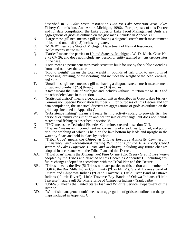described in *A Lake Trout Restoration Plan for Lake Superior* (Great Lakes Fishery Commission, Ann Arbor, Michigan, 1996). For purposes of this Decree and for data compilation, the Lake Superior Lake Trout Management Units are aggregations of grids as outlined on the grid maps included in Appendix C.

- N. "Large mesh gill net" means a gill net having a diagonal stretch mesh measurement of four and one-half (4.5) inches or greater.
- O. "MDNR" means the State of Michigan, Department of Natural Resources.<br>P. "Mile" means statute mile.
- P. "Mile" means statute mile.<br>Q. "Parties" means the partie
- "Parties" means the parties to United States v. Michigan, W. D. Mich. Case No. 2:73 CV 26, and does not include any person or entity granted *amicus curiae* status in the case.
- R. "Pier" means a permanent man-made structure built for use by the public extending from land out over the water.
- S. "Round weight" means the total weight in pounds of fish prior to any form of processing, dressing, or eviscerating, and includes the weight of the head, entrails, and skin.
- T. "Small mesh gill net" means a gill net having a diagonal stretch mesh measurement of two and one-half  $(2.5)$  through three  $(3.0)$  inches.
- U. "State" means the State of Michigan and includes without limitation the MDNR and the other defendants in this action.
- V. "Statistical district" means a geographical unit as described in Great Lakes Fishery Commission Special Publication Number 2. For purposes of this Decree and for data compilation, the statistical districts are aggregations of grids as outlined on the grid maps included in Appendix C.
- W. "Subsistence fishing" means a Treaty fishing activity solely to provide fish for personal or family consumption and not for sale or exchange, but does not include recreational fishing as described in section V.
- X. "TFC" means the Technical Fisheries Committee created in section XIII.<br>Y. "Trap net" means an impoundment net consisting of a lead, heart, tunnel.
- Y. "Trap net" means an impoundment net consisting of a lead, heart, tunnel, and pot or crib, the webbing of which is held on the lake bottom by leads and upright in the water by floats and held in place by anchors.
- Z. "Tribal Code" means the *Chippewa Ottawa Resource Authority Commercial, Subsistence, and Recreational Fishing Regulations for the 1836 Treaty Ceded Waters of Lakes Superior, Huron, and Michigan*, including any future changes adopted in accordance with the Tribal Plan and this Decree.
- AA. "Tribal Plan" means the *Management Plan for the 1836 Treaty Great Lakes Waters* adopted by the Tribes and attached to this Decree as Appendix B, including any future changes adopted in accordance with the Tribal Plan and this Decree.
- BB. "Tribes" means the five (5) Tribes who are parties to this action and members of CORA: the Bay Mills Indian Community ("Bay Mills"), Grand Traverse Band of Ottawa and Chippewa Indians ("Grand Traverse"), Little River Band of Ottawa Indians ("Little River"), Little Traverse Bay Bands of Odawa Indians ("Little Traverse"), and Sault Ste. Marie Tribe of Chippewa Indians ("Sault Tribe").
- CC. "USFWS" means the United States Fish and Wildlife Service, Department of the Interior.
- DD. "Whitefish management unit" means an aggregation of grids as outlined on the grid maps included in Appendix C.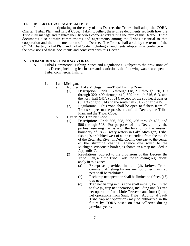#### **III. INTERTRIBAL AGREEMENTS.**

In addition to stipulating to the entry of this Decree, the Tribes shall adopt the CORA Charter, Tribal Plan, and Tribal Code. Taken together, these three documents set forth how the Tribes will manage and regulate their fisheries cooperatively during the term of this Decree. These documents also contain commitments and agreements among the Tribes essential to that cooperation and the implementation of this Decree. The Tribes shall abide by the terms of the CORA Charter, Tribal Plan, and Tribal Code, including amendments adopted in accordance with the provisions of those documents and consistent with this Decree.

#### **IV. COMMERCIAL FISHING ZONES.**

- A. Tribal Commercial Fishing Zones and Regulations. Subject to the provisions of this Decree, including its closures and restrictions, the following waters are open to Tribal commercial fishing:
	- 1. Lake Michigan.
		- a. Northern Lake Michigan Inter-Tribal Fishing Zone.
			- (1) Description: Grids 115 through 118, 211 through 220, 310 through 320, 409 through 419, 509 through 516, 613, and the north half  $(N1/2)$  of 614, except for the southeast quarter  $(SE1/4)$  of grid 314 and the south half  $(S1/2)$  of grid 415.
			- (2) Regulations: This zone shall be open to fishers from all Tribes subject to the provisions of this Decree, the Tribal Plan, and the Tribal Code.
		- b. Bay de Noc Trap Net Zone.
			- (1) Description: Grids 306, 308, 309, 406 through 408, and 506 through 508. For purposes of this Decree only, the parties reserving the issue of the location of the western boundary of 1836 Treaty waters in Lake Michigan, Tribal fishing is prohibited west of a line extending from the mouth of the Escanaba River in Delta County due east to the center of the shipping channel, thence due south to the Michigan-Wisconsin border, as shown on a map included in Appendix C.
			- (2) Regulations: Subject to the provisions of this Decree, the Tribal Plan, and the Tribal Code, the following regulations apply in this zone:
				- (a) Except as provided in sub. (d), below, Tribal commercial fishing by any method other than trap nets shall be prohibited.
				- (b) Each trap net operation shall be limited to fifteen (15) trap nets.
				- (c) Trap net fishing in this zone shall initially be limited to five (5) trap net operations, including one (1) trap net operation from Little Traverse and four (4) trap net operations from Sault Tribe. Additional Sault Tribe trap net operations may be authorized in the future by CORA based on data collected during previous years.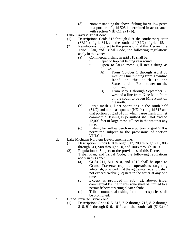- (d) Notwithstanding the above, fishing for yellow perch in a portion of grid 508 is permitted in accordance with section VIII.C.1.e. $(1)(\bar{b})$ .
- c. Little Traverse Tribal Zone.
	- (1) Description: Grids 517 through 519, the southeast quarter  $(SE1/4)$  of grid 314, and the south half  $(S1/2)$  of grid 415.
	- (2) Regulations: Subject to the provisions of this Decree, the Tribal Plan, and Tribal Code, the following regulations apply in this zone:
		- (a) Commercial fishing in grid 518 shall be:
			- i. Open to trap net fishing year round;
			- ii. Open to large mesh gill net fishing as follows:
				- A) From October 1 through April 30 west of a line running from Townline Road on the south to the Stuttsmanville Road tower on the north; and
				- B) From May 1 through September 30 west of a line from Nine Mile Point on the south to Seven Mile Point on the north.
		- (b) Large mesh gill net operations in the south half  $(S1/2)$  and northeast quarter (NE1/4) of grid 517 and that portion of grid 518 in which large mesh gill net commercial fishing is permitted shall not exceed 12,000 feet of large mesh gill net in the water at any time.
		- (c) Fishing for yellow perch in a portion of grid 518 is permitted subject to the provisions of section VIII.C.1.e.
- d. Lake Michigan Northern Development Zone.
	- (1) Description: Grids 610 through 612, 709 through 711, 808 through 811, 908 through 910, and 1008 through 1010.
	- (2) Regulations: Subject to the provisions of this Decree, the Tribal Plan, and Tribal Code, the following regulations apply in this zone:
		- (a) Grids 711, 811, 910, and 1010 shall be open to Grand Traverse trap net operations targeting whitefish; provided, that the aggregate net effort shall not exceed twelve (12) nets in the water at any one time.
		- (b) Except as provided in sub. (a), above, tribal commercial fishing in this zone shall be limited to a permit fishery targeting bloater chubs.
		- (c) Tribal commercial fishing for all other species shall be prohibited.
- e. Grand Traverse Tribal Zone.
	- (1) Description: Grids 615, 616, 712 through 716, 812 through 816, 911 through 916, 1011, and the south half (S1/2) of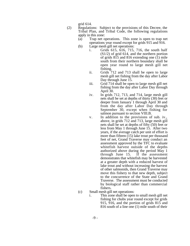grid 614.

- (2) Regulations: Subject to the provisions of this Decree, the Tribal Plan, and Tribal Code, the following regulations apply in this zone:
	- (a) Trap net operations. This zone is open to trap net operations year round except for grids 915 and 916.
	- (b) Large mesh gill net operations:
		- i. Grids 615, 616, 715, 716, the south half (S1/2) of grid 614, and the northern portion of grids 815 and 816 extending one (1) mile south from their northern boundary shall be open year round to large mesh gill net fishing.
		- ii. Grids 712 and 713 shall be open to large mesh gill net fishing from the day after Labor Day through June 15.
		- iii. Grid 714 shall be open to large mesh gill net fishing from the day after Labor Day through April 30.
		- iv. In grids 712, 713, and 714, large mesh gill nets shall be set at depths of thirty (30) feet or deeper from January 1 through April 30 and from the day after Labor Day through September 30, except when fishing for salmon pursuant to section VIII.B.
		- v. In addition to the provisions of sub. iv., above, in grids 712 and 713, large mesh gill nets shall be set at depths of fifty (50) feet or less from May 1 through June 15. After two years, if the average catch per unit of effort is more than fifteen  $(15)$  lake trout per thousand feet of net, Grand Traverse may conduct an assessment approved by the TFC to evaluate whitefish harvest outside of the depths authorized above during the period May 1 through June 15. If the assessment through June  $15$ . demonstrates that whitefish may be harvested at a greater depth with a reduced harvest of lake trout and without increasing the harvest of other salmonids, then Grand Traverse may move this fishery to that new depth, subject to the concurrence of the State and Grand Traverse. The assessment must be conducted by biological staff rather than commercial fishers.
	- (c) Small mesh gill net operations:
		- i. This zone shall be open to small mesh gill net fishing for chubs year round except for grids 915, 916, and the portion of grids 815 and 816 south of a line one (1) mile south of their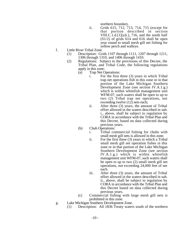northern boundary.

- ii. Grids 615, 712, 713, 714, 715 (except for that portion described in section VIII.C.1.d.[1][a]i.), 716, and the south half  $(S1/2)$  of grids 614 and 616 shall be open year round to small mesh gill net fishing for yellow perch and walleye.
- f. Little River Tribal Zone.
	- (1) Description: Grids 1107 through 1111, 1207 through 1211, 1306 through 1310, and 1406 through 1410.
	- (2) Regulations: Subject to the provisions of this Decree, the Tribal Plan, and Tribal Code, the following regulations apply in this zone:
		- (a) Trap Net Operations:
			- i. For the first three (3) years in which Tribal trap net operations fish in this zone or in that portion of the Lake Michigan Southern Development Zone (see section IV.A.1.g.) which is within whitefish management unit WFM-07, such waters shall be open to up to two (2) Tribal trap net operations, not exceeding twelve (12) nets each;
			- ii. After three (3) years, the amount of Tribal effort allowed in the waters described in sub. i., above, shall be subject to regulation by CORA in accordance with the Tribal Plan and this Decree, based on data collected during previous years.
		- (b) Chub Operations:
			- i. Tribal commercial fishing for chubs with small mesh gill nets is allowed in this zone.
			- ii. For the first three (3) years in which a Tribal small mesh gill net operation fishes in this zone or in that portion of the Lake Michigan Southern Development Zone (see section IV.A.1.g.) which is within whitefish management unit WFM-07, such waters shall be open to up to two (2) small mesh gill net operations, not exceeding 24,000 feet of net each.
			- iii. After three (3) years, the amount of Tribal effort allowed in the waters described in sub. ii., above, shall be subject to regulation by CORA in accordance with the Tribal Plan and this Decree based on data collected during previous years.
		- (c) Commercial fishing with large mesh gill nets is prohibited in this zone.
- g. Lake Michigan Southern Development Zone.
	- (1) Description: All 1836 Treaty waters south of the northern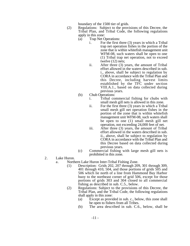boundary of the 1500 tier of grids.

- (2) Regulations: Subject to the provisions of this Decree, the Tribal Plan, and Tribal Code, the following regulations apply in this zone:
	- (a) Trap Net Operations:
		- i. For the first three (3) years in which a Tribal trap net operation fishes in the portion of the zone that is within whitefish management unit WFM-08, such waters shall be open to one (1) Tribal trap net operation, not to exceed twelve (12) nets;
		- ii. After three (3) years, the amount of Tribal effort allowed in the waters described in sub. i., above, shall be subject to regulation by CORA in accordance with the Tribal Plan and this Decree, including harvest limits established by the TFC under section VIII.A.1., based on data collected during previous years.
	- (b) Chub Operations:
		- i. Tribal commercial fishing for chubs with small mesh gill nets is allowed in this zone.
		- ii. For the first three (3) years in which a Tribal small mesh gill net operation fishes in the portion of the zone that is within whitefish management unit WFM-08, such waters shall be open to one (1) small mesh gill net operation, not exceeding 24,000 feet of net.
		- iii. After three (3) years, the amount of Tribal effort allowed in the waters described in sub. ii., above, shall be subject to regulation by CORA in accordance with the Tribal Plan and this Decree based on data collected during previous years.
	- (c) Commercial fishing with large mesh gill nets is prohibited in this zone.
- 2. Lake Huron.
	- a. Northern Lake Huron Inter-Tribal Fishing Zone.
		- (1) Description: Grids 202, 207 through 209, 301 through 309, 401 through 410, 504, and those portions of grids 505 and 506 which lie north of a line from Hammond Bay Harbor buoy to the northeast corner of grid 506, except for those portions of grids 303 and 304 closed to all commercial fishing as described in sub. C.5., below.
		- (2) Regulations: Subject to the provisions of this Decree, the Tribal Plan, and the Tribal Code, the following regulations shall apply in this zone:
			- (a) Except as provided in sub. c., below, this zone shall be open to fishers from all Tribes.
			- (b) The area described in sub. C.6., below, shall be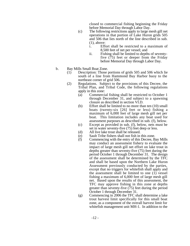closed to commercial fishing beginning the Friday before Memorial Day through Labor Day.

- (c) The following restrictions apply to large mesh gill net operations in that portion of Lake Huron grids 505 and 506 that lies north of the line described in sub. (1), above:
	- i. Effort shall be restricted to a maximum of 8,500 feet of net per vessel; and
	- ii. Fishing shall be limited to depths of seventyfive (75) feet or deeper from the Friday before Memorial Day through Labor Day.
- b. Bay Mills Small Boat Zone.
	- (1) Description: Those portions of grids 505 and 506 which lie south of a line from Hammond Bay Harbor buoy to the northeast corner of grid 506.
	- (2) Regulations. Subject to the provisions of this Decree, the Tribal Plan, and Tribal Code, the following regulations apply in this zone:
		- (a) Commercial fishing shall be restricted to October 1 through December 31, and subject to a spawning closure as described in section VI.D.
		- (b) Effort shall be limited to no more than ten (10) small boats (twenty-six [26] feet or less) fishing a maximum of 6,000 feet of large mesh gill net per boat. This limitation includes any boat used for assessment purposes as described in sub. (f), below.
		- (c) Except as provided in sub. (f), below, nets must be set in water seventy-five (75) feet deep or less.
		- (d) All live lake trout shall be released.
		- (e) Sault Tribe fishers shall not fish in this zone.
		- (f) Commencing with the entry of this Decree, Bay Mills may conduct an assessment fishery to evaluate the impact of large mesh gill net effort on lake trout in depths greater than seventy-five (75) feet during the period October 1 through December 31. The design of the assessment shall be determined by the TFC and shall be based upon the Northern Lake Huron Assessment previously conducted by the parties, except that no triggers for whitefish shall apply and the assessment shall be limited to one (1) vessel fishing a maximum of 6,000 feet of large mesh gill net. Based upon the results of this assessment, the TFC may approve fishing in this zone at depths greater than seventy-five  $(75)$  feet during the period October 1 through December 31.
		- (g) Commencing in 2006 the TFC shall determine a lake trout harvest limit specifically for this small boat zone, as a component of the overall harvest limit for whitefish management unit MH-1. In addition to the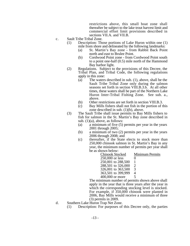restrictions above, this small boat zone shall thereafter be subject to the lake trout harvest limit and commercial effort limit provisions described in sections VII.A. and VII.B.

- c. Sault Tribe Tribal Zone.
	- (1) Description: Those portions of Lake Huron within one (1) mile from shore and delineated by the following landmarks:
		- (a) St. Martin's Bay zone from Rabbit Back Point north and east to Brulee Point.
		- (b) Cordwood Point zone from Cordwood Point south to a point one-half (0.5) mile north of the Hammond Bay harbor light.
	- (2) Regulations. Subject to the provisions of this Decree, the Tribal Plan, and Tribal Code, the following regulations apply in this zone:
		- (a) The waters described in sub. (1), above, shall be the Sault Tribe Tribal Zone only during the salmon seasons set forth in section VIII.B.3.b. At all other times, these waters shall be part of the Northern Lake Huron Inter-Tribal Fishing Zone. See sub. a., above.
		- (b) Other restrictions are set forth in section VIII.B.3.
		- (c) Bay Mills fishers shall not fish in the portion of this zone described in sub. (1)(b), above.
	- (3) The Sault Tribe shall issue permits to Bay Mills fishers to fish for salmon in the St. Martin's Bay zone described in sub.  $(1)(a)$ , above, as follows:
		- (a) a minimum of five (5) permits per year in the years 2001 through 2005;
		- (b) a minimum of two (2) permits per year in the years 2006 through 2008; and
		- (c) thereafter, if the State elects to stock more than 250,000 chinook salmon in St. Martin's Bay in any year, the minimum number of permits per year shall be as shown below:

| <b>Chinook Stocked</b> | <b>Minimum Permits</b> |
|------------------------|------------------------|
| 250,000 or less        |                        |
| 250,001 to 288,500     |                        |
| 288,501 to 326,000     | 2                      |
| 326,001 to 363,500     | 3                      |
| 363,501 to 399,999     |                        |
| 400,000 or more        |                        |
|                        |                        |

The minimum number of permits shown above shall apply in the year that is three years after the year in which the corresponding stocking level is stocked. For example, if 350,000 chinook were planted in 2006, Bay Mills would receive a minimum of three (3) permits in 2009.

- d. Southern Lake Huron Trap Net Zone.
	- (1) Description: For purposes of this Decree only, the parties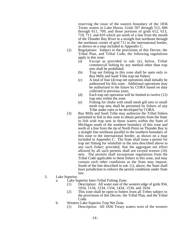reserving the issue of the eastern boundary of the 1836 Treaty waters in Lake Huron, Grids 507 through 512, 606 through 611, 709, and those portions of grids 612, 613, 710, 711, and 810 which are north of a line from the mouth of the Thunder Bay River in a straight line northeast through the northeast corner of grid 711 to the international border, as shown on a map included in Appendix C.

- (2) Regulations: Subject to the provisions of this Decree, the Tribal Plan, and Tribal Code, the following regulations apply in this zone:
	- (a) Except as provided in sub. (e), below, Tribal commercial fishing by any method other than trap nets shall be prohibited.
	- (b) Trap net fishing in this zone shall be open only to Bay Mills and Sault Tribe trap net fishers.
	- (c) A total of four (4) trap net operations shall initially be authorized for this zone. Additional operations may be authorized in the future by CORA based on data collected in previous years.
	- (d) Each trap net operation will be limited to twelve (12) trap nets within the zone.
	- (e) Fishing for chubs with small mesh gill nets or small mesh trap nets shall be permitted by fishers of any Tribe under rules to be developed by CORA.
- (3) Bay Mills and Sault Tribe may authorize the Tribal fishers permitted to fish in this zone to obtain permits from the State to fish with trap nets in those waters within the State of Michigan south of the southern boundary of this zone and north of a line from the tip of North Point on Thunder Bay in a straight line northeast parallel to the southern boundary of this zone to the international border, as shown on a map included in Appendix C. The State shall issue a permit for trap net fishing for whitefish in the area described above to any such fisher; provided, that the aggregate net effort allowed by all such permits shall not exceed sixteen (16) nets. The permits shall incorporate regulations from the Tribal Code applicable to these fishers in this zone, and may contain such other conditions as the State may impose. South of the line described in sub. (1), above, the State shall have jurisdiction to enforce the permit conditions under State law.
- 3. Lake Superior.
	- a. Lake Superior Inter-Tribal Fishing Zone.
		- (1) Description: All water east of the western edge of grids 934, 1034, 1134, 1234, 1334, 1434, 1534, and 1634.
		- (2) This zone shall be open to fishers from all Tribes subject to the provisions of this Decree, the Tribal Plan, and the Tribal Code.
	- b. Western Lake Superior Trap Net Zone.
		- (1) Description: All 1836 Treaty waters west of the western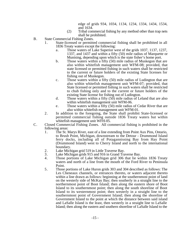edge of grids 934, 1034, 1134, 1234, 1334, 1434, 1534, and 1634.

- (2) Tribal commercial fishing by any method other than trap nets shall be prohibited.
- B. State Commercial Fishing Zones.
	- 1. State-licensed or permitted commercial fishing shall be prohibited in all 1836 Treaty waters except the following:
		- a. Those waters of Lake Superior west of the grids 1037, 1137, 1237, 1337, and 1437 and within a fifty (50) mile radius of Marquette or Munising, depending upon which is the state fisher's home port.
		- b. Those waters within a fifty (50) mile radius of Muskegon that are also within whitefish management unit WFM-08; provided, that state licensed or permitted fishing in such waters shall be restricted to the current or future holders of the existing State licenses for fishing out of Muskegon.
		- c. Those waters within a fifty (50) mile radius of Ludington that are also within whitefish management unit WFM-07; provided, that State licensed or permitted fishing in such waters shall be restricted to chub fishing only and to the current or future holders of the existing State license for fishing out of Ludington.
		- d. Those waters within a fifty (50) mile radius of Leland that are also within whitefish management unit WFM-06.
		- e. Those waters within a fifty (50) mile radius of Cedar River that are also within whitefish management unit WFM-01.
	- 2. In addition to the foregoing, the State shall prohibit State-licensed or permitted commercial fishing outside 1836 Treaty waters but within whitefish management unit WFH-05.
- C. Closed Commercial Fishing Zones. All commercial fishing is prohibited in the following areas:
	- 1. The St. Marys River, east of a line extending from Point Aux Pins, Ontario, to Brush Point, Michigan, downstream to the Detour - Drummond Island ferry docks, including all of Potagannissing Bay from Hay Point (Drummond Island) west to Cherry Island and north to the international boundary.
	- 2. Lake Michigan grid 519 in Little Traverse Bay.<br>3. Lake Michigan grids 915 and 916 in Grand Tra
	- Lake Michigan grids 915 and 916 in Grand Traverse Bay.
	- 4. Those portions of Lake Michigan grid 306 that lie within 1836 Treaty waters and north of a line from the mouth of the Ford River to Peninsula Point.
	- 5. Those portions of Lake Huron grids 303 and 304 described as follows: The Les Cheneaux channels, or entrances thereto, or waters adjacent thereto within a line drawn as follows: beginning at the southernmost point of land on the westerly side of McKay Bay; then southerly in a straight line to the northernmost point of Boot Island; then along the eastern shore of Boot Island to its southernmost point; then along the south shoreline of Boot Island to its westernmost point; then westerly in a straight line to the southernmost point of Government Island; then along the shoreline of Government Island to the point at which the distance between said island and LaSalle Island is the least, then westerly in a straight line to LaSalle Island; then along the eastern and southern shoreline of LaSalle Island to the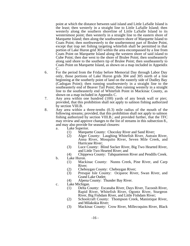point at which the distance between said island and Little LaSalle Island is the least; then westerly in a straight line to Little LaSalle Island; then westerly along the southern shoreline of Little LaSalle Island to its westernmost point; then westerly in a straight line to the eastern shore of Marquette Island; then along the southwestern shore of Marquette Island to Coats Point; then northwesterly to the southernmost part of Brulee Point, except that trap net fishing targeting whitefish shall be permitted in that portion of Lake Huron grid 303 within the area encompassed by a line from Coats Point on Marquette Island along the western shore of said island to Cube Point; then due west to the shore of Brulee Point; then southeasterly along said shore to the southern tip of Brulee Point; then southeasterly to Coats Point on Marquette Island, as shown on a map included in Appendix C.

- 6. For the period from the Friday before Memorial Day through Labor Day only, those portions of Lake Huron grids 304 and 305 north of a line beginning at the southerly point of land on the easterly side of Dudley Bay (Cadogan Point); then running southwesterly in a straight line to the southeasterly end of Beaver Tail Point; then running westerly in a straight line to the southeasterly end of Whitefish Point in Mackinac County, as shown on a map included in Appendix C.
- 7. Any area within one hundred (100) yards of any break wall or pier; provided, that this prohibition shall not apply to salmon fishing authorized by section VIII.B.
- 8. Any area within a three-tenths (0.3) mile radius of the mouth of the following streams; provided, that this prohibition shall not apply to salmon fishing authorized by section VIII.B.; and provided further, that the TFC may review and approve changes to the list of streams in this subsection 8., and may also provide for seasonal closures:
	- a. Lake Superior.
		- (1) Marquette County: Chocolay River and Sand River;<br>(2) Alger County: Laughing Whitefish River, Autrain
		- Alger County: Laughing Whitefish River, Autrain River, Anna River, Mosquito River, Seven Mile Creek, and Hurricane River;
		- (3) Luce County: Blind Sucker River, Big Two Hearted River, and Little Two Hearted River; and
	- (4) Chippewa County: Tahquamenon River and Pendills Creek. b. Lake Huron.
		- (1) Mackinac County: Nunns Creek, Pine River, and Carp River;
		- (2) Cheboygan County: Cheboygan River;
		- (3) Presque Isle County: Ocqueoc River, Swan River, and Grand Lake Outlet;
		- (4) Alpena County: Thunder Bay River.
	- c. Lake Michigan.
		- (1) Delta County: Escanaba River, Days River, Tacoosh River, Rapid River, Whitefish River, Ogontz River, Sturgeon River, Big Fishdam River, and Little Fishdam River;
		- (2) Schoolcraft County: Thompson Creek, Manistique River, and Milakokia River;
		- (3) Mackinac County: Crow River, Millecoquins River, Black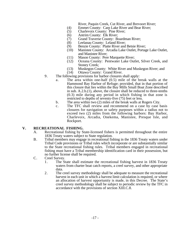River, Paquin Creek, Cut River, and Brevoort River;

- (4) Emmet County: Carp Lake River and Bear River;<br>(5) Charlevoix County: Pine River;
- (5) Charlevoix County: Pine River;
- (6) Antrim County: Elk River;
- (7) Grand Traverse County: Boardman River;<br>(8) Leelanau County: Leland River;
- (8) Leelanau County: Leland River;<br>(9) Benzie County: Platte River and
- Benzie County: Platte River and Betsie River;
- (10) Manistee County: Arcadia Lake Outlet, Portage Lake Outlet, and Manistee River;
- (11) Mason County: Pere Marquette River;<br>(12) Oceana County: Pentwater Lake Out
- Oceana County: Pentwater Lake Outlet, Silver Creek, and Stoney Creek;
- (13) Muskegon County: White River and Muskegon River; and
- (14) Ottawa County: Grand River.
- 9. The following provisions for harbor closures shall apply:
	- a. The area within one-half (0.5) mile of the break walls at the Hammond Bay Harbor of Refuge; provided, that in that portion of this closure that lies within the Bay Mills Small Boat Zone described in sub. A.2.b.(1), above, the closure shall be reduced to three-tenths (0.3) mile during any period in which fishing in that zone is restricted to depths of seventy-five (75) feet or less.
	- b. The area within two (2) miles of the break walls at Rogers City.
	- c. The TFC shall review and recommend on a case by case basis closures for navigation or safety purposes within a radius not to exceed two (2) miles from the following harbors: Bay Harbor, Charlevoix, Arcadia, Onekema, Manistee, Presque Isle, and Rockport.

#### **V. RECREATIONAL FISHING.**

- A. Recreational fishing by State-licensed fishers is permitted throughout the entire 1836 Treaty waters subject to State regulation.
- B. Tribal members may engage in recreational fishing in the 1836 Treaty waters under Tribal Code provisions or Tribal rules which incorporate or are substantially similar to the State recreational fishing rules. Tribal members engaged in recreational fishing must have a Tribal membership identification card in their possession, but no further license shall be required.
- C. Creel Survey.
	- 1. The State shall estimate the recreational fishing harvest in 1836 Treaty waters from charter boat catch reports, a creel survey, and other appropriate data.
	- 2. The creel survey methodology shall be adequate to measure the recreational harvest in each unit in which a harvest limit calculation is required, or where an allocation of harvest opportunity is made, in this Decree. The State's creel survey methodology shall be subject to periodic review by the TFC in accordance with the provisions of section XIII.C.8.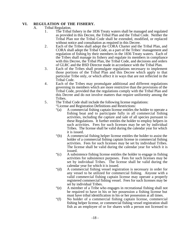# **VI. REGULATION OF THE FISHERY.**

### A. Tribal Regulation.

- 1. The Tribal fishery in the 1836 Treaty waters shall be managed and regulated as provided in this Decree, the Tribal Plan and the Tribal Code. Neither the Tribal Plan nor the Tribal Code shall be extended, modified, or replaced without notice and consultation as required in this Decree.
- 2. Each of the Tribes shall adopt the CORA Charter and the Tribal Plan, and CORA shall adopt the Tribal Code, as a part of the Tribes' management and regulation of fishing by their members in the 1836 Treaty waters. Each of the Tribes shall manage its fishery and regulate its members in compliance with this Decree, the Tribal Plan, the Tribal Code, and decisions and orders of GLRC and the BSD Director made in accordance with the Tribal Plan.
- 3. Each of the Tribes shall promulgate regulations necessary to implement those portions of the Tribal Plan and this Decree which apply to that particular Tribe only, or which affect it in ways that are not reflected in the Tribal Code.
- 4. Each of the Tribes may promulgate additional and different regulations governing its members which are more restrictive than the provisions of the Tribal Code, provided that the regulations comply with the Tribal Plan and this Decree and do not involve matters that require uniformity among the Tribes.
- 5. The Tribal Code shall include the following license regulations:
	- "License and Registration Definitions and Restrictions:<br>"(a) A commercial fishing captain license entitles the
		- A commercial fishing captain license entitles the holder to operate a fishing boat and to participate fully in all commercial fishing activities, including the capture and sale of all species pursuant to these Regulations. It further entitles the holder to employ helpers in such activities. Fees for such licenses may be set by individual Tribes. The license shall be valid during the calendar year for which it is issued.
		- "(b) A commercial fishing helper license entitles the holder to assist the holder of a commercial fishing captain license in commercial fishing activities. Fees for such licenses may be set by individual Tribes. The license shall be valid during the calendar year for which it is issued.
		- "(c) A subsistence fishing license entitles the holder to engage in fishing activities for subsistence purposes. Fees for such licenses may be set by individual Tribes. The license shall be valid during the calendar year for which it is issued.
		- "(d) A commercial fishing vessel registration is necessary in order for any vessel to be utilized for commercial fishing. Anyone with a valid commercial fishing captain license may operate a properly registered commercial fishing vessel. Fees for such licenses may be set by individual Tribes.
		- "(e) A member of a Tribe who engages in recreational fishing shall not be required to have in his or her possession a fishing license but must have tribal identification in his or her possession at all times.
		- "(f) No holder of a commercial fishing captain license, commercial fishing helper license, or commercial fishing vessel registration shall fish as an employee of or for shares with a person not licensed to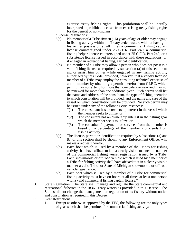exercise treaty fishing rights. This prohibition shall be liberally interpreted to prohibit a licensee from exercising treaty fishing rights for the benefit of non-Indians.

- "License Regulations:
- "(a) No member of a Tribe sixteen (16) years of age or older may engage in fishing activity within the Treaty ceded waters without having in his or her possession at all times a commercial fishing captain license countersigned under 25 C.F.R. Part 249, a commercial fishing helper license countersigned under 25 C.F.R. Part 249, or a subsistence license issued in accordance with these regulations, or, if engaged in recreational fishing, a tribal identification.
- "(b) No member of a Tribe may allow a person who does not possess a valid fishing license as required by subsection (a) of this section to aid or assist him or her while engaged in any fishing activity authorized by this Code; provided, however, that a validly licensed member of a Tribe may employ the consulting technical expertise of a non-member by obtaining a permit therefor from GLRC, which permit may not extend for more than one calendar year and may not be renewed for more than one additional year. Such permit shall list the name and address of the consultant, the type of fishing operation to which consultation will be provided, and the name and size of the vessel on which consultation will be provided. No such permit may be issued under any of the following circumstances:
	- "(1) The consultant has an ownership interest in the vessel which the member seeks to utilize; or
	- "(2) The consultant has an ownership interest in the fishing gear which the member seeks to utilize; or
	- "(3) The consultant's payment for services from the member is based on a percentage of the member's proceeds from fishing activity.
- "(c) The license, permit or identification required by subsections (a) and (b) of this section shall be shown to any Enforcement Officer who makes a request therefor.
- "(d) Each boat which is used by a member of the Tribes for fishing activity shall have affixed to it in a clearly visible manner the number of the commercial fishing vessel registration issued by a Tribe. Each snowmobile or off road vehicle which is used by a member of a Tribe for fishing activity shall have affixed to it in a clearly visible manner a valid Tribal or State of Michigan snowmobile or off road vehicle registration.
- "(e) Each boat which is used by a member of a Tribe for commercial fishing activity must have on board at all times at least one person with a valid commercial fishing captain license."
- B. State Regulation. The State shall manage and regulate the State commercial and recreational fisheries in the 1836 Treaty waters as provided in this Decree. The State shall not change the management or regulation of its fishery without notice and consultation as required in this Decree.
- C. Gear Restrictions.
	- 1. Except as otherwise approved by the TFC, the following are the only types of gear which shall be permitted for commercial fishing activity: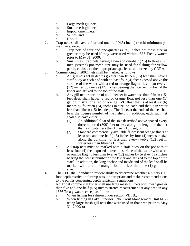- a. Large mesh gill nets;
- b. Small mesh gill nets;
- c. Impoundment nets;
- d. Seines; and
- e. Hooks.
- 2. Trap nets shall have a four and one-half (4.5) inch (stretch) minimum pot mesh size, except:
	- a. Trap nets of four and one-quarter (4.25) inches pot mesh size or greater may be used if they were used within 1836 Treaty waters prior to May 31, 2000.
	- b. Small mesh trap nets having a two and one-half (2.5) to three (3.0) inch (stretch) pot mesh size may be used for fishing for yellow perch, chubs, or other appropriate species as authorized by CORA.
- 3. Commencing in 2002, nets shall be marked as follows:
	- a. All gill nets set in depths greater than fifteen (15) feet shall have a staff buoy at each end with at least four (4) feet exposed above the surface of the water with a red or orange flag no less than twelve (12) inches by twelve (12) inches bearing the license number of the fisher and affixed to the top of the staff.
	- b. Any gill net or portion of a gill net set in water less than fifteen (15) feet deep shall have: a red or orange float not less than one (1) gallon in size, or a red or orange PVC float that is at least six (6) inches by fourteen (14) inches in size, on each end that is in water less than fifteen (15) feet deep. The floats at the ends of the net shall bear the license number of the fisher. In addition, each such net shall also have either:
		- (1) An additional float of the size described above spaced every three hundred (300) feet or less along the length of the net that is in water less than fifteen (15) feet; or
		- (2) Standard commercially available fluorescent orange floats at least one and one-half (1.5) inches by four (4) inches in size along the corkline not less than every twelve (12) feet in water less than fifteen (15) feet.
	- c. All trap nets must be marked with a staff buoy on the pot with at least four (4) feet exposed above the surface of the water with a red or orange flag no less than twelve (12) inches by twelve (12) inches bearing the license number of the fisher and affixed to the top of the staff. In addition, the king anchor and inside end of the lead shall be marked with a red or orange float not less than one (1) gallon in size.
- 4. The TFC shall conduct a review study to determine whether a ninety (90) foot depth restriction for trap nets is appropriate and make recommendations to the parties concerning depth restriction regulations.
- 5. No Tribal commercial fisher shall use large mesh gill nets with mesh greater than five and one-half (5.5) inches stretch measurement at any time in any 1836 Treaty waters except as follows:
	- a. When fishing for salmon under section VIII.B.;
	- b. When fishing in Lake Superior Lake Trout Management Unit MI-8 using large mesh gill nets that were used in that area prior to May 31, 2000; or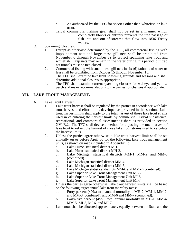- c. As authorized by the TFC for species other than whitefish or lake trout.
- 6. Tribal commercial fishing gear shall not be set in a manner which completely blocks or entirely prevents the free passage of fish into and out of streams that flow into 1836 Treaty waters.
- D. Spawning Closures.
	- 1. Except as otherwise determined by the TFC, all commercial fishing with impoundment nets and large mesh gill nets shall be prohibited from November 6 through November 29 to protect spawning lake trout and whitefish. Trap nets may remain in the water during this period, but trap net tunnels must be tied closed.
	- 2. Commercial fishing with small mesh gill nets in six (6) fathoms of water or less shall be prohibited from October 15 through November 15.
	- 3. The TFC shall examine lake trout spawning grounds and seasons and shall determine additional closures as appropriate.
	- 4. The TFC shall examine current spawning closures for walleye and yellow perch and make recommendations to the parties for changes if appropriate.

# **VII. LAKE TROUT MANAGEMENT.**

- A. Lake Trout Harvest.
	- 1. Lake trout harvest shall be regulated by the parties in accordance with lake trout harvest and effort limits developed as provided in this section. Lake trout harvest limits shall apply to the total harvest of those lake trout strains used in calculating the harvest limits by commercial, Tribal subsistence, recreational, and commercial assessment fishers as provided in section XVI.B.2. The TFC shall devise a method for adjusting the total harvest of lake trout to reflect the harvest of those lake trout strains used to calculate the harvest limits.
	- 2. Unless the parties agree otherwise, a lake trout harvest limit shall be set annually on or before April 30 for the following lake trout management units, as shown on maps included in Appendix C:
		- a. Lake Huron statistical district MH-1.
		- b. Lake Huron statistical district MH-2.
		- c. Lake Michigan statistical districts MM-1, MM-2, and MM-3 (combined).
		- d. Lake Michigan statistical district MM-4.
		- e. Lake Michigan statistical district MM-5.<br>f. Lake Michigan statistical districts MM-6
		- Lake Michigan statistical districts MM-6 and MM-7 (combined).
		- g. Lake Superior Lake Trout Management Unit MI-5.
		- h. Lake Superior Lake Trout Management Unit MI-6.
		- i. Lake Superior Lake Trout Management Unit MI-7.
	- 3. Unless the parties agree otherwise, lake trout harvest limits shall be based on the following target annual lake trout mortality rates:
		- a. Forty percent (40%) total annual mortality in MH-2; MM-1, MM-2, and MM-3 (combined); and MM-6 and MM-7 (combined).
		- b. Forty-five percent (45%) total annual mortality in MH-1, MM-4, MM-5, MI-5, MI-6, and MI-7.
	- 4. Lake trout shall be allocated approximately equally between the State and the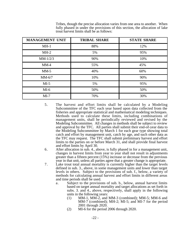| <b>MANAGEMENT UNIT</b> | <b>TRIBAL SHARE</b> | <b>STATE SHARE</b> |
|------------------------|---------------------|--------------------|
| $MH-1$                 | 88%                 | 12%                |
| $MH-2$                 | 5%                  | 95%                |
| $MM-1/2/3$             | 90%                 | 10%                |
| $MM-4$                 | 55%                 | 45%                |
| $MM-5$                 | 40%                 | 60%                |
| $MM-6/7$               | 10%                 | 90%                |
| $MI-5$                 | 5%                  | 95%                |
| $MI-6$                 | 50%                 | 50%                |
| $MI-7$                 | 70%                 | 30%                |

Tribes, though the precise allocation varies from one area to another. When fully phased in under the provisions of this section, the allocation of lake trout harvest limits shall be as follows:

- 5. The harvest and effort limits shall be calculated by a Modeling Subcommittee of the TFC each year based upon data collected from the fisheries and appropriate statistical and mathematical modeling techniques. Methods used to calculate these limits, including combinations of management units, shall be periodically reviewed and revised by the Modeling Subcommittee. All changes in methods shall be subject to review and approval by the TFC. All parties shall submit their end-of-year data to the Modeling Subcommittee by March 1 for each gear type showing total catch and effort by management unit, catch by age, and such other data as the TFC may request. The TFC shall submit preliminary harvest and effort limits to the parties on or before March 31, and shall provide final harvest and effort limits by April 30.
- 6. After allocation in sub. 4., above, is fully phased in for a management unit, changes in harvest limits from year to year shall not result in adjustments greater than a fifteen percent (15%) increase or decrease from the previous year in that unit, unless all parties agree that a greater change is appropriate.
- 7. Lake trout total annual mortality is currently higher than the target levels defined in sub. 3., above, in some management units and lower than target levels in others. Subject to the provisions of sub. f., below, a variety of methods for calculating annual harvest and effort limits in different areas and time periods shall be used.
	- a. Subject to the provisions of sub. b., below, annual harvest limits based on target annual mortality and target allocations as set forth in subs. 3. and 4., above, respectively, shall apply in the following units in the following years:
		- (1) MM-1, MM-2, and MM-3 (combined); MM-5; MM-6 and MM-7 (combined); MH-2; MI-5; and MI-7 for the period 2001 through 2020.
		- (2) MI-6 for the period 2006 through 2020.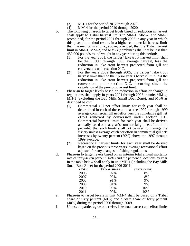- (3) MH-1 for the period 2012 through 2020.<br>(4) MM-4 for the period 2010 through 2020.
- MM-4 for the period 2010 through 2020.
- b. The following phase-in to target levels based on reduction in harvest shall apply to Tribal harvest limits in MM-1, MM-2, and MM-3 (combined) for the period 2001 through 2005 in any year in which this phase-in method results in a higher commercial harvest limit than the method in sub. a., above; provided, that the Tribal harvest limit in MM-1, MM-2, and MM-3 (combined) shall not be less than 450,000 pounds round weight in any year during this period:
	- (1) For the year 2001, the Tribes' lake trout harvest limit shall be their 1997 through 1999 average harvest, less the reduction in lake trout harvest projected from gill net conversions under section X.C.
	- (2) For the years 2002 through 2005, the Tribes' lake trout harvest limit shall be their prior year's harvest limit, less the reduction in lake trout harvest projected from gill net conversions under section X.C. occurring since the calculation of the previous harvest limit.
- c. Phase-in to target levels based on reduction in effort or change in regulations shall apply in years 2001 through 2005 in units MM-4, MH-1 (excluding the Bay Mills Small Boat Zone), and MI-6 as described below:
	- (1) Commercial gill net effort limits for each year shall be determined in each of these units as the 1997 through 1999 average commercial gill net effort less the cumulative gill net effort removed by conversion under section X.C. Commercial harvest limits for each year shall be derived annually based on that year's commercial gill net effort limit, provided that such limits shall not be used to manage the fishery unless average catch per effort in commercial gill nets increases by twenty percent (20%) above the 1997 through 1999 average.
	- (2) Recreational harvest limits for each year shall be derived based on the previous three-years' average recreational effort adjusted for any changes in fishing regulations.
- d. Phase-in to target levels based on an interim total annual mortality rate of forty-seven percent (47%) and the percent allocations by year in the table below shall apply in unit MH-1 (including the Bay Mills Small Boat Zone) for the period 2006-2011:

| YEAR | <b>TRIBAL SHARE</b> | <b>STATE SHARE</b> |
|------|---------------------|--------------------|
| 2006 | 92%                 | 8%                 |
| 2007 | 92%                 | 8%                 |
| 2008 | 91%                 | 9%                 |
| 2009 | 91%                 | 9%                 |
| 2010 | 90%                 | 10%                |
| 2011 | 90%                 | 10%                |
|      |                     |                    |

- e. Phase-in to target levels in unit MM-4 shall be based on a Tribal share of sixty percent (60%) and a State share of forty percent (40%) during the period 2006 through 2009.
- f. Unless all parties agree otherwise, lake trout harvest and effort limits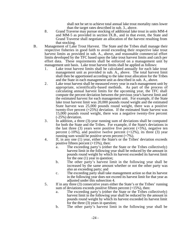shall not be set to achieve total annual lake trout mortality rates lower than the target rates described in sub. 3., above.

- 8. Grand Traverse may pursue stocking of additional lake trout in units MM-4 and MM-5 as provided in section IX.B., and in that event, the State and Grand Traverse shall negotiate an allocation of the harvest resulting from that stocking.
- B. Management of Lake Trout Harvest. The State and the Tribes shall manage their respective fisheries in good faith to avoid exceeding their respective lake trout harvest limits as provided in sub. A., above, and reasonable commercial effort limits developed by the TFC based upon the lake trout harvest limits and catch per effort data. These requirements shall be enforced on a management unit by management unit basis. Lake trout harvest limits shall be applied as follows:
	- 1. Lake trout harvest limits shall be calculated annually for each lake trout management unit as provided in sub. A., above. The total harvest limit shall then be apportioned according to the lake trout allocation for the Tribes and the State in each management unit as described in sub. A., above.
	- 2. Lake trout harvest shall be measured every year in each management unit by appropriate, scientifically-based methods. As part of the process of calculating annual harvest limits for the upcoming year, the TFC shall compute the percent deviation between the previous year's harvest limit and the estimated harvest for each management unit. For example, if the State lake trout harvest limit was 20,000 pounds round weight and the estimated State harvest was 25,000 pounds round weight, there was a positive twenty-five percent  $(+25%)$  deviation. If the estimated State harvest was 15,000 pounds round weight, there was a negative twenty-five percent (-25%) deviation.
	- 3. In addition, a three (3)-year running sum of deviations shall be computed for both the State and the Tribes. For example, if the State's deviations in the last three (3) years were positive five percent  $(+5%)$ , negative ten percent  $(-10\%)$ , and positive twelve percent  $(+12\%)$ , its three  $(3)$  year running sum would be positive seven percent (+7%).
	- 4. If, in any one (1) year, either the State's or the Tribes' deviation exceeds positive fifteen percent  $(+15%)$ , then:
		- a. The exceeding party's (either the State or the Tribes collectively) harvest limit in the following year shall be reduced by the amount in pounds round weight by which its harvest exceeded its harvest limit for the one (1) year in question;
		- b. The other party's harvest limit in the following year shall be increased by the same amount whether or not the other party was also an exceeding party; and
		- c. The exceeding party shall take management action so that its harvest in the following year does not exceed its harvest limit for that year as adjusted under this subsection 4.
	- 5. If in any three (3) consecutive years either the State's or the Tribes' running sum of deviations exceeds positive fifteen percent  $(+15%)$ , then:
		- a. The exceeding party's (either the State or the Tribes collectively) harvest limit in the following year shall be reduced by the amount in pounds round weight by which its harvest exceeded its harvest limit for the three (3) years in question;
		- b. The other party's harvest limit in the following year shall be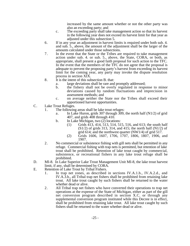increased by the same amount whether or not the other party was also an exceeding party; and

- c. The exceeding party shall take management action so that its harvest in the following year does not exceed its harvest limit for that year as adjusted under this subsection 5.
- 6. If in any year an adjustment in harvest limits is required under both sub. 4. and sub. 5., above, the amount of the adjustment shall be the larger of the amounts calculated under those subsections.
- 7. In the event that the State or the Tribes are required to take management action under sub. 4. or sub. 5., above, the State, CORA, or both, as appropriate, shall present a good faith proposal for such action to the TFC. In the event that the members of the TFC do not agree that the proposal is adequate to prevent the proposing party's harvest from exceeding its harvest limit for the coming year, any party may invoke the dispute resolution process in section XIX.
- 8. It is the intent of this subsection B. that:
	- a. large deviations shall be rare and promptly addressed;<br>b. the fishery shall not be overly regulated in respo
	- b. the fishery shall not be overly regulated in response to minor deviations caused by random fluctuations and imprecision in assessment methods; and
	- c. on average neither the State nor the Tribes shall exceed their apportioned harvest opportunities.
- C. Lake Trout Refuges.
	- 1. The following areas shall be lake trout refuges:
		- a. In Lake Huron, grids 307 through 309, the north half (N1/2) of grid 407, and grids 408 through 410.
		- b. In Lake Michigan, two (2) locations:
			- (1) Grids 413, 414, 513, 514, 515, 516, and 613; the south half  $(S1/2)$  of grids 313, 314, and 415; the north half  $(N1/2)$  of grid 614; and the northwest quarter (NW1/4) of grid 517.
			- (2) Grids 1606, 1607, 1706, 1707, 1806, 1807, 1906, and 1907.
	- 2. No commercial or subsistence fishing with gill nets shall be permitted in any refuge. Commercial fishing with trap nets is permitted, but retention of lake trout shall be prohibited. Retention of lake trout caught by commercial, subsistence, or recreational fishers in any lake trout refuge shall be prohibited.
- D. MI-8. In Lake Superior Lake Trout Management Unit MI-8, the lake trout harvest limit, if any, shall be determined by CORA.
- E. Retention of Lake Trout by Tribal Fishers.
	- 1. In trap net zones, as described in sections IV.A.1.b., IV.A.2.d., and IV.A.3.b., all Tribal trap net fishers shall be prohibited from retaining lake trout. All lake trout caught by such fishers shall be returned to the water whether dead or alive.
	- 2. All Tribal trap net fishers who have converted their operations to trap net operations at the expense of the State of Michigan, either as part of the gill net conversion program described in section X.C. or through any supplemental conversion program instituted while this Decree is in effect, shall be prohibited from retaining lake trout. All lake trout caught by such fishers shall be returned to the water whether dead or alive.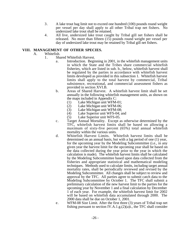- 3. A lake trout bag limit not to exceed one hundred (100) pounds round weight per vessel per day shall apply to all other Tribal trap net fishers. No undersized lake trout shall be retained.
- 4. All live, undersized lake trout caught by Tribal gill net fishers shall be released. No more than fifteen (15) pounds round weight per vessel per day of undersized lake trout may be retained by Tribal gill net fishers.

#### **VIII. MANAGEMENT OF OTHER SPECIES.**

- A. Whitefish.
	- 1. Shared Whitefish Harvest.
		- a. Introduction. Beginning in 2001, in the whitefish management units in which the State and the Tribes share commercial whitefish fisheries, which are listed in sub. b., below, whitefish harvest shall be regulated by the parties in accordance with whitefish harvest limits developed as provided in this subsection 1. Whitefish harvest limits shall apply to the total harvest by commercial, Tribal subsistence, recreational, and commercial assessment fishers as provided in section XVI.B.
		- b. Areas of Shared Harvest. A whitefish harvest limit shall be set annually in the following whitefish management units, as shown on the maps included in Appendix C:
			-
			- (1) Lake Michigan unit WFM-01;<br>(2) Lake Michigan unit WFM-06; (2) Lake Michigan unit WFM-06;<br>(3) Lake Michigan unit WFM-08:
			- (3) Lake Michigan unit WFM-08;<br>(4) Lake Superior unit WFS-04; a
			- Lake Superior unit WFS-04; and
			- (5) Lake Superior unit WFS-05.
		- c. Target Annual Mortality. Except as otherwise determined by the TFC, whitefish harvest limits shall be based on allowing a maximum of sixty-five percent (65%) total annual whitefish mortality within the various units.
		- d. Whitefish Harvest Limits. Whitefish harvest limits shall be determined on an annual basis, but with a lag period of one (1) year, for the upcoming year by the Modeling Subcommittee (i.e., in any given year the harvest limit for the upcoming year shall be based on the data collected during the year prior to the year in which the calculation is made). The whitefish harvest limits shall be calculated by the Modeling Subcommittee based upon data collected from the fisheries and appropriate statistical and mathematical modeling techniques. Methods used to calculate limits, including target annual mortality rates, shall be periodically reviewed and revised by the Modeling Subcommittee. All changes shall be subject to review and approval by the TFC. All parties agree to submit catch data to the Modeling Subcommittee by October 1. The TFC shall submit a preliminary calculation of the new harvest limit to the parties for the upcoming year by November 1 and a final calculation by December 1 of each year. For example, the whitefish harvest limit for 2002 will be based on whitefish data accumulated through 2000. The 2000 data shall be due on October 1, 2001.
		- e. WFM-08 Size Limit. After the first three (3) years of Tribal trap net fishing pursuant to section IV.A.1.g. $(2)(a)i$ , the TFC shall consider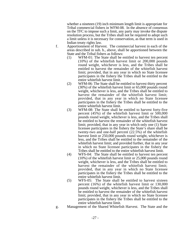whether a nineteen (19) inch minimum length limit is appropriate for Tribal commercial fishers in WFM-08. In the absence of consensus on the TFC to impose such a limit, any party may invoke the dispute resolution process, but the Tribes shall not be required to adopt such a limit unless it is necessary for conservation, as that term is used in Indian treaty rights law.

- f. Apportionment of Harvest. The commercial harvest in each of the areas described in sub. b., above, shall be apportioned between the State and the Tribal fishers as follows:
	- (1) WFM-01: The State shall be entitled to harvest ten percent (10%) of the whitefish harvest limit or 200,000 pounds round weight, whichever is less, and the Tribes shall be entitled to harvest the remainder of the whitefish harvest limit; provided, that in any year in which no State licensee participates in the fishery the Tribes shall be entitled to the entire whitefish harvest limit.
	- (2) WFM-06: The State shall be entitled to harvest thirty percent (30%) of the whitefish harvest limit or 65,000 pounds round weight, whichever is less, and the Tribes shall be entitled to harvest the remainder of the whitefish harvest limit; provided, that in any year in which no State licensee participates in the fishery the Tribes shall be entitled to the entire whitefish harvest limit.
	- (3) WFM-08: The State shall be entitled to harvest forty-five percent (45%) of the whitefish harvest limit or 500,000 pounds round weight, whichever is less, and the Tribes shall be entitled to harvest the remainder of the whitefish harvest limit; provided, that in any year in which only one (1) State licensee participates in the fishery the State's share shall be twenty-two and one-half percent (22.5%) of the whitefish harvest limit or 250,000 pounds round weight, whichever is less, and the Tribes shall be entitled to the remainder of the whitefish harvest limit; and provided further, that in any year in which no State licensee participates in the fishery the Tribes shall be entitled to the entire whitefish harvest limit.
	- (4) WFS-04: The State shall be entitled to harvest ten percent (10%) of the whitefish harvest limit or 25,000 pounds round weight, whichever is less, and the Tribes shall be entitled to harvest the remainder of the whitefish harvest limit; provided, that in any year in which no State licensee participates in the fishery the Tribes shall be entitled to the entire whitefish harvest limit.
	- (5) WFS-05: The State shall be entitled to harvest sixteen percent (16%) of the whitefish harvest limit or 130,000 pounds round weight, whichever is less, and the Tribes shall be entitled to harvest the remainder of the whitefish harvest limit; provided, that in any year in which no State licensee participates in the fishery the Tribes shall be entitled to the entire whitefish harvest limit.
- g. Management of the Shared Whitefish Harvest. The State and the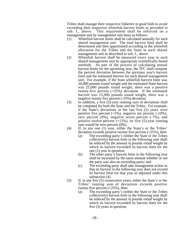Tribes shall manage their respective fisheries in good faith to avoid exceeding their respective whitefish harvest limits as provided in sub. f., above. This requirement shall be enforced on a management unit by management unit basis as follows:

- (1) Whitefish harvest limits shall be calculated annually for each shared management unit. The total harvest limit shall be determined and then apportioned according to the whitefish allocation for the Tribes and the State in each shared management unit as described in sub. f., above.
- (2) Whitefish harvest shall be measured every year in each shared management unit by appropriate scientifically-based methods. As part of the process of calculating annual harvest limits for the upcoming year, the TFC shall compute the percent deviation between the previous year's harvest limit and the estimated harvest for each shared management unit. For example, if the State whitefish harvest limit was 20,000 pounds round weight and the estimated State harvest was 25,000 pounds round weight, there was a positive twenty-five percent  $(+25%)$  deviation. If the estimated harvest was 15,000 pounds round weight, there was a negative twenty-five percent (-25%) deviation.
- (3) In addition, a five  $(5)$ -year running sum of deviations shall be computed for both the State and the Tribes. For example, if the State's deviations in the last five (5) years were positive five percent  $(+5\%)$ , negative ten percent  $(-10\%)$ , zero percent  $(0\%)$ , negative seven percent  $(-7\%)$ , and positive twelve percent  $(+12\%)$ , its five  $(5)$ -year running sum would be zero percent (0%).
- (4) If, in any one (1) year, either the State's or the Tribes' deviation exceeds positive twenty-five percent  $(+25%)$ , then:
	- (a) The exceeding party's (either the State or the Tribes collectively) harvest limit in the following year shall be reduced by the amount in pounds round weight by which its harvest exceeded its harvest limit for the one (1) year in question;
	- (b) The other party's harvest limit in the following year shall be increased by the same amount whether or not the party was also an exceeding party; and
	- (c) The exceeding party shall take management action so that its harvest in the following year does not exceed its harvest limit for that year as adjusted under this subsection (4).
- (5) If, in any five (5) consecutive years, either the State's or the Tribes' running sum of deviations exceeds positive twenty-five percent  $(+25%)$ , then:
	- (a) The exceeding party's (either the State or the Tribes collectively) harvest limit in the following year shall be reduced by the amount in pounds round weight by which its harvest exceeded its harvest limit for the five (5) years in question;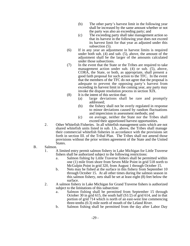- (b) The other party's harvest limit in the following year shall be increased by the same amount whether or not the party was also an exceeding party; and
- (c) The exceeding party shall take management action so that its harvest in the following year does not exceed its harvest limit for that year as adjusted under this subsection (5).
- (6) If in any year an adjustment in harvest limits is required under both sub. (4) and sub. (5), above, the amount of the adjustment shall be the larger of the amounts calculated under those subsections.
- (7) In the event that the State or the Tribes are required to take management action under sub. (4) or sub. (5), above, CORA, the State, or both, as appropriate, shall present a good faith proposal for such action to the TFC. In the event that the members of the TFC do not agree that the proposal is adequate to prevent the opposing party's harvest from exceeding its harvest limit in the coming year, any party may invoke the dispute resolution process in section XIX.
- (8) It is the intent of this section that:
	- (a) large deviations shall be rare and promptly addressed;
	- (b) the fishery shall not be overly regulated in response to minor deviations caused by random fluctuations and imprecision in assessment methods; and
	- (c) on average, neither the State nor the Tribes shall exceed their apportioned harvest opportunities.
- 2. Other Whitefish Fisheries. In all whitefish management units which are not shared whitefish units listed in sub. 1.b., above, the Tribes shall manage their commercial whitefish fisheries in accordance with the provisions set forth in section III. of the Tribal Plan. The Tribes shall not amend those provisions without the prior written agreement of the State and the United States.
- B. Salmon.
	- 1. A limited entry permit salmon fishery in Lake Michigan for Little Traverse fishers shall be authorized subject to the following restrictions:
		- a. Salmon fishing by Little Traverse fishers shall be permitted within one (1) mile from shore from Seven Mile Point in grid 518 north to McGulpin Point in grid 320, from August 1 through October 15.
		- b. Nets may be fished at the surface in this fishery from September 10 through October 15. At all other times during the salmon season in this salmon fishery, nets shall be set at least eight (8) feet below the surface.
	- 2. A salmon fishery in Lake Michigan for Grand Traverse fishers is authorized subject to the limitations of this subsection:
		- a. Salmon fishing shall be permitted from September 15 through October 30 in grid 615, the south half (S1/2) of grid 614, and in that portion of grid 714 which is north of an east-west line commencing three-tenths (0.3) mile north of mouth of the Leland River.
		- b. Salmon fishing shall be permitted from the day after Labor Day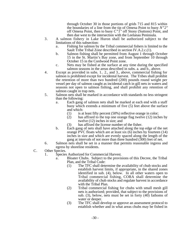through October 30 in those portions of grids 715 and 815 within the boundaries of a line from the tip of Omena Point to buoy *N"2"* off Omena Point, then to buoy *C"1"* off Stony (Suttons) Point, and then due west to the intersection with the Leelanau Peninsula*.*

- 3. A salmon fishery in Lake Huron shall be authorized subject to the limitations of this subsection:
	- a. Fishing for salmon by the Tribal commercial fishers is limited to the Sault Tribe Tribal Zone described in section IV.A.2.c.(1).
	- b. Salmon fishing shall be permitted from August 1 through October 15 in the St. Martin's Bay zone, and from September 10 through October 15 in the Cordwood Point zone.
	- c. Nets may be fished at the surface at any time during the specified salmon seasons in the areas described in subs. a. and b., above.
- 4. Except as provided in subs. 1.. 2., and 3., above, commercial fishing for salmon is prohibited except for incidental harvest. The Tribes shall prohibit the retention of more than two hundred (200) pounds round weight per vessel per day of salmon caught as incidental catch in gill nets in waters and seasons not open to salmon fishing, and shall prohibit any retention of salmon caught in trap nets.
- 5. Salmon nets shall be marked in accordance with standards no less stringent than the following:
	- a. Each gang of salmon nets shall be marked at each end with a staff buoy which extends a minimum of five (5) feet above the surface and which:
		- $(1)$  is at least fifty percent  $(50%)$  reflective orange in color;
		- (2) has affixed to the top one orange flag twelve (12) inches by twelve (12) inches in size; and
		- (3) has affixed the license number of the fisher.
	- b. Each gang of nets shall have attached along the top edge of the net orange PVC floats which are at least six (6) inches by fourteen (14) inches in size and which are evenly spaced along the length of the gang at intervals of not more than three hundred (300) feet of net.
- 6. Salmon nets shall be set in a manner that permits reasonable ingress and egress by shoreline residents.
- C. Other Species.
	- 1. Species Authorized for Commercial Harvest.
		- a. Bloater Chubs. Subject to the provisions of this Decree, the Tribal Plan, and the Tribal Code:
			- (1) The TFC shall determine the availability of chub stocks and establish harvest limits, if appropriate, in the shared zones identified in sub. (4), below. In all other waters open to Tribal commercial fishing, CORA shall determine the availability of chub stocks and regulate harvest in accordance with the Tribal Plan.
			- (2) Tribal commercial fishing for chubs with small mesh gill nets is authorized; provided, that subject to the provisions of sub. (3), below, nets must be set in forty (40) fathoms of water or deeper.
			- (3) The TFC shall develop or approve an assessment protocol to establish whether and in what areas chubs may be fished in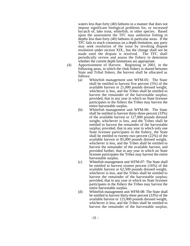waters less than forty (40) fathoms in a manner that does not impose significant biological problems for, or increased bycatch of, lake trout, whitefish, or other species. Based upon the assessment the TFC may authorize fishing in depths less than forty (40) fathoms in particular areas. If the TFC fails to reach consensus on a depth limitation, any party may seek resolution of the issue by invoking dispute resolution under section XIX., but the change shall not be made until the dispute is resolved. The TFC shall periodically review and assess the fishery to determine whether the current depth limitations are appropriate.

- (4) Apportionment of Harvest. Beginning in 2001, in the following areas, in which the chub fishery is shared between State and Tribal fishers, the harvest shall be allocated as follows:
	- (a) Whitefish management unit WFM-05: The State shall be entitled to harvest five percent (5%) of the available harvest or 21,000 pounds dressed weight, whichever is less, and the Tribes shall be entitled to harvest the remainder of the harvestable surplus; provided, that in any year in which no State licensee participates in the fishery the Tribes may harvest the entire harvestable surplus.
	- (b) Whitefish management unit WFM-06: The State shall be entitled to harvest thirty-three percent (33%) of the available harvest or 127,000 pounds dressed weight, whichever is less, and the Tribes shall be entitled to harvest the remainder of the harvestable surplus; provided, that in any year in which only one State licensee participates in the fishery, the State shall be entitled to twenty-two percent (22%) of the available harvest or 85,000 pounds dressed weight, whichever is less, and the Tribes shall be entitled to harvest the remainder of the available harvest; and provided further, that in any year in which no State licensee participates the Tribes may harvest the entire harvestable surplus.
	- (c) Whitefish management unit WFM-07: The State shall be entitled to harvest sixteen percent (16%) of the available harvest or 62,500 pounds dressed weight, whichever is less, and the Tribes shall be entitled to harvest the remainder of the harvestable surplus; provided, that in any year in which no State licensee participates in the fishery the Tribes may harvest the entire harvestable surplus.
	- (d) Whitefish management unit WFM-08: The State shall be entitled to harvest thirty-three percent (33%) of the available harvest or 125,000 pounds dressed weight, whichever is less, and the Tribes shall be entitled to harvest the remainder of the harvestable surplus;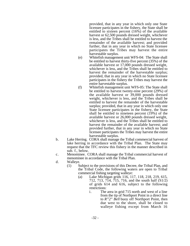provided, that in any year in which only one State licensee participates in the fishery, the State shall be entitled to sixteen percent (16%) of the available harvest or 62,500 pounds dressed weight, whichever is less, and the Tribes shall be entitled to harvest the remainder of the available harvest; and provided further, that in any year in which no State licensee participates the Tribes may harvest the entire harvestable surplus.

- (e) Whitefish management unit WFS-04: The State shall be entitled to harvest thirty-five percent (35%) of the available harvest or 17,000 pounds dressed weight, whichever is less, and the Tribes shall be entitled to harvest the remainder of the harvestable surplus; provided, that in any year in which no State licensee participates in the fishery the Tribes may harvest the entire harvestable surplus.
- (f) Whitefish management unit WFS-05: The State shall be entitled to harvest twenty-nine percent (29%) of the available harvest or 39,000 pounds dressed weight, whichever is less, and the Tribes shall be entitled to harvest the remainder of the harvestable surplus; provided, that in any year in which only one State licensee participates in the fishery, the State shall be entitled to nineteen percent (19%) of the available harvest or 26,000 pounds dressed weight, whichever is less, and the Tribes shall be entitled to harvest the remainder of the available harvest; and provided further, that in any year in which no State licensee participates the Tribes may harvest the entire harvestable surplus.
- b. Lake Herring. CORA shall manage the Tribal commercial harvest of lake herring in accordance with the Tribal Plan. The State may request that the TFC review this fishery in the manner described in sub. f., below.
- c. Menominee. CORA shall manage the Tribal commercial harvest of menominee in accordance with the Tribal Plan.
- d. Walleye.
	- (1) Subject to the provisions of this Decree, the Tribal Plan, and the Tribal Code, the following waters are open to Tribal commercial fishing targeting walleye:
		- (a) Lake Michigan grids 116, 117, 118, 218, 219, 615, 712, 713, 714, 715, 716, and the south half (S1/2) of grids 614 and 616, subject to the following restrictions:
			- i. The area in grid 715 north and west of a line from the tip of Northport Point in a direct line to *R"2" Bell* buoy off Northport Point, then due west to the shore, shall be closed to walleye fishing except from March 16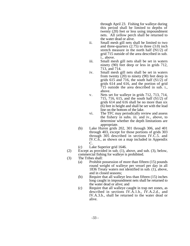through April 23. Fishing for walleye during this period shall be limited to depths of twenty (20) feet or less using impoundment nets. All yellow perch shall be returned to the water dead or alive.

- ii. Small mesh gill nets shall be limited to two and three-quarters (2.75) to three (3.0) inch stretch measure in the north half (N1/2) of grid 715 outside of the area described in sub. i., above.
- iii. Small mesh gill nets shall be set in waters ninety (90) feet deep or less in grids 712, 713, and 714.
- iv. Small mesh gill nets shall be set in waters from twenty (20) to ninety (90) feet deep in grids 615 and 716, the south half  $(S1/2)$  of grids 614 and 616, and the portion of grid 715 outside the area described in sub. i., above.
- v. Nets set for walleye in grids 712, 713, 714, 715, 716, 615, and the south half (S1/2) of grids 614 and 616 shall be no more than six (6) feet in height and shall be set with the lead line on the bottom of the lake.
- vi. The TFC may periodically review and assess the fishery in subs. iii. and iv., above, to determine whether the depth limitations are appropriate.
- (b) Lake Huron grids 202, 301 through 306, and 401 through 403, except for those portions of grids 303 through 305 described in sections IV.C.5. and IV.C.6., as shown on a map included in Appendix C.
- (c) Lake Superior grid 1646.
- (2) Except as provided in sub. (1), above, and sub. (3), below, commercial fishing for walleye is prohibited.
- (3) The Tribes shall:
	- (a) Prohibit possession of more than fifteen (15) pounds round weight of walleye per vessel per day in all 1836 Treaty waters not identified in sub. (1), above, and in closed seasons;
	- (b) Require that all walleye less than fifteen (15) inches long caught in impoundment nets shall be returned to the water dead or alive; and
	- (c) Require that all walleye caught in trap net zones, as described in sections IV.A.1.b., IV.A.2.d., and IV.A.3.b., shall be returned to the water dead or alive.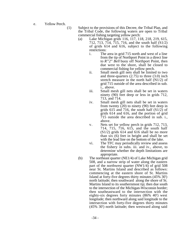e. Yellow Perch.

(1) Subject to the provisions of this Decree, the Tribal Plan, and the Tribal Code, the following waters are open to Tribal commercial fishing targeting yellow perch:

- (a) Lake Michigan grids 116, 117, 118, 218, 219, 615, 712, 713, 714, 715, 716, and the south half  $(S1/2)$ of grids 614 and 616, subject to the following restrictions:
	- i. The area in grid 715 north and west of a line from the tip of Northport Point in a direct line to *R"2" Bell* buoy off Northport Point, then due west to the shore, shall be closed to commercial fishing for yellow perch.
	- ii. Small mesh gill nets shall be limited to two and three-quarters (2.75) to three (3.0) inch stretch measure in the north half (N1/2) of grid 715 outside of the area described in sub. i., above.
	- iii. Small mesh gill nets shall be set in waters ninety (90) feet deep or less in grids 712, 713, and 714.
	- iv. Small mesh gill nets shall be set in waters from twenty  $(20)$  to ninety (90) feet deep in grids 615 and 716, the south half  $(S1/2)$  of grids 614 and 616, and the portion of grid 715 outside the area described in sub. i., above.
	- v. Nets set for yellow perch in grids 712, 713, 714, 715, 716, 615, and the south half  $(S1/2)$  grids 614 and 616 shall be no more than six (6) feet in height and shall be set with the lead line on the bottom of the lake.
	- vi. The TFC may periodically review and assess the fishery in subs. iii. and iv., above, to determine whether the depth limitations are appropriate.
- (b) The northeast quarter (NE1/4) of Lake Michigan grid 508, and a narrow strip of water along the eastern part of the northwest quarter (NW1/4) of grid 508 near St. Martins Island and described as follows: commencing at the eastern shore of St. Martins Island at forty-five degrees thirty minutes (45% 30') north latitude; then southward along the shore of St. Martins Island to its southernmost tip; then due south to the intersection of the Michigan-Wisconsin border; then southeastward to the intersection with the eighty-six degrees forty minutes (86% 40') west longitude; then northward along said longitude to the intersection with forty-five degrees thirty minutes (45% 30') north latitude; then westward along said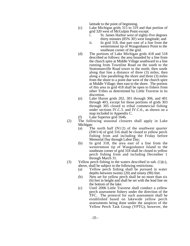latitude to the point of beginning.

- (c) Lake Michigan grids 315 to 319 and that portion of grid 320 west of McGulpin Point except:
	- i. St. James Harbor west of eighty-five degrees thirty minutes (85% 30') west longitude; and
	- ii. In grid 318, that part east of a line from the westernmost tip of Waugoshance Point to the southeast corner of the grid.
- (d) The portions of Lake Michigan grids 418 and 518 described as follows: the area bounded by a line from the church spire at Middle Village southward to a line running from Townline Road on the south to the Stuttsmanville Road tower to the north; then south along that line a distance of three (3) miles; then along a line paralleling the shore and three (3) miles from the shore to a point due west of the church spire at Middle Village; then east to the shore. The portion of this area in grid 418 shall be open to fishers from other Tribes as determined by Little Traverse in its discretion.
- (e) Lake Huron grids 202, 301 through 306, and 401 through 403, except for those portions of grids 303 through 305 closed to tribal commercial fishing under sections IV.C.5. and IV.C.6., as shown on a map included in Appendix C.
- (f) Lake Superior grid 1646.
- (2) The following seasonal closures shall apply in Lake Michigan:
	- (a) The north half  $(N1/2)$  of the southwest quarter (SW1/4) of grid 316 shall be closed to yellow perch fishing from and including the Friday before Memorial Day through Labor Day;
	- (b) In grid 318, the area east of a line from the westernmost tip of Waugoshance Island to the southeast corner of grid 318 shall be closed to yellow perch fishing from and including December 1 through March 31.
- (3) Yellow perch fishing in the waters described in sub.  $(1)(c)$ , above, shall be subject to the following restrictions:
	- (a) Yellow perch fishing shall be pursued in water depths between twenty (20) and ninety (90) feet.
	- (b) Nets set for yellow perch shall be no more than six (6) feet in height and shall be set with the lead line on the bottom of the lake.
	- (c) Until 2006 Little Traverse shall conduct a yellow perch assessment fishery under the direction of the TFC. The protocol for such assessment shall be established based on lakewide yellow perch assessments being done under the auspices of the Yellow Perch Task Group (YPTG); however, the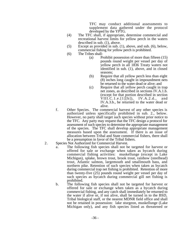TFC may conduct additional assessments to supplement data gathered under the protocol developed by the YPTG.

- (4) The TFC shall, if appropriate, determine commercial and recreational harvest limits for yellow perch in the waters described in sub. (1), above.
- (5) Except as provided in sub. (1), above, and sub. (6), below, commercial fishing for yellow perch is prohibited.
- (6) The Tribes shall:
	- (a) Prohibit possession of more than fifteen (15) pounds round weight per vessel per day of yellow perch in all 1836 Treaty waters not identified in sub. (1), above, and in closed seasons;
	- (b) Require that all yellow perch less than eight (8) inches long caught in impoundment nets be returned to the water dead or alive; and
	- (c) Require that all yellow perch caught in trap net zones, as described in sections IV.A.1.b. (except for that portion described in section VIII.C.1.e.[1][b]), IV.A.2.d., and IV.A.3.b., be returned to the water dead or alive.
- f. Other Species. The commercial harvest of any other species is authorized unless specifically prohibited in sub. 2., below. However, no party shall target such species without prior notice to the TFC. Any party may request that the TFC design a protocol for assessment of such species to determine the appropriate management of the species. The TFC shall develop appropriate management measures based upon the assessment. If there is an issue of allocation between Tribal and State commercial fishers, there shall be a presumption in favor of the Tribal fishers.
- 2. Species Not Authorized for Commercial Harvest.
	- a. The following fish species shall not be targeted for harvest or offered for sale or exchange when taken as bycatch during commercial fishing activities: muskellunge (except in Lake Michigan), splake, brown trout, brook trout, rainbow (steelhead) trout, Atlantic salmon, largemouth and smallmouth bass, and northern pike. Retention of such species when taken as bycatch during commercial trap net fishing is prohibited. Retention of more than twenty-five (25) pounds round weight per vessel per day of such species as bycatch during commercial gill net fishing is prohibited.
	- b. The following fish species shall not be targeted for harvest or offered for sale or exchange when taken as a bycatch during commercial fishing, and any catch shall immediately be returned to the water if alive or, if not alive, shall be turned in to the BSD, Tribal biological staff, or the nearest MDNR field office and shall not be retained in possession: lake sturgeon, muskellunge (Lake Michigan only), and any fish species listed as threatened or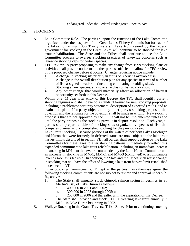endangered under the Federal Endangered Species Act.

### **IX. STOCKING.**

- A. Lake Committee Role. The parties support the functions of the Lake Committee organized under the auspices of the Great Lakes Fishery Commission for each of the lakes containing 1836 Treaty waters. Lake trout reared by the federal government for stocking in the Great Lakes will continue to be stocked for lake trout rehabilitation. The State and the Tribes shall continue to use the Lake Committee process to oversee stocking practices of lakewide concern, such as lakewide stocking caps for certain species.
- B. TFC Review. A party proposing to make any change from 1999 stocking plans or activities shall provide notice to all other parties sufficient to allow for TFC review of the proposed change before it occurs. Changes requiring notice include:
	- 1. A change in stocking site priority in terms of receiving available fish.<br>2. A change in the overall distribution plan for any species in terms of n
	- 2. A change in the overall distribution plan for any species in terms of number of fish assigned to each site (including eliminating or adding sites).
	- 3. Stocking a new species, strain, or size class of fish at a location.
	- 4. Any other change that would materially affect an allocation of harvest opportunity set forth in this Decree.

Within one (1) year after entry of this Decree, the TFC shall identify current stocking regimes and shall develop a standard format for new stocking proposals, including a problem/opportunity statement, description of expected results, and an evaluation plan. If a party objects to any other party's stocking proposal, that objection and the rationale for the objection shall be made in writing. New stocking proposals that are not approved by the TFC shall not be implemented unless and until the party proposing the stocking prevails in dispute resolution. Each year, all parties shall prepare a table of stocking sites organized by species of fish that compares planned and accomplished stocking for the previous year.

- C. Lake Trout Stocking. Because portions of the waters of northern Lakes Michigan and Huron that were formerly in deferred status are now subject to the lake trout harvest limits described in section VII., all parties shall support action by the Lake Committees for these lakes to alter stocking patterns immediately to reflect this expanded commitment to lake trout rehabilitation, including an immediate increase in stocking in MH-1 to the level recommended by the Lake Huron Committee and an increase in stocking in MM-1, MM-2, and MM-3 (combined) to a comparable level as soon as is feasible. In addition, the State and the Tribes shall resist changes in stocking that will have the effect of lowering a lake trout harvest limit established under section VII.
- D. Other Stocking Commitments. Except as the parties may otherwise agree, the following stocking commitments are not subject to review and approval under sub. B., above:
	- 1. The State shall annually stock chinook salmon spring fingerlings in St. Martin's Bay of Lake Huron as follows:
		- a. 400,000 in 2001 and 2002;<br>b. 300,000 in 2003 through 20
		- b. 300,000 in 2003 through 2005; and
		- c. 250,000 in 2006 and thereafter until the expiration of this Decree.
	- 2. The State shall provide and stock 100,000 yearling lake trout annually in MH-1 in Lake Huron beginning in 2002.
- E. Walleye Stocking in the Grand Traverse Tribal Zone. Prior to continuing stocking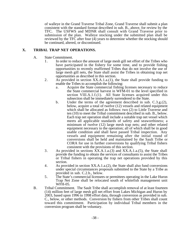of walleye in the Grand Traverse Tribal Zone, Grand Traverse shall submit a plan consistent with the standard format described in sub. B., above, for review by the TFC. The USFWS and MDNR shall consult with Grand Traverse prior to submission of the plan. Walleye stocking under the submitted plan shall be reviewed by the TFC after four (4) years to determine whether the stocking should be continued, altered, or discontinued.

# **X. TRIBAL TRAP NET OPERATIONS.**

- A. State Commitment.
	- 1. In order to reduce the amount of large mesh gill net effort of the Tribes who have participated in the fishery for some time, and to provide fishing opportunities to recently reaffirmed Tribes that do not involve the use of large mesh gill nets, the State shall assist the Tribes in obtaining trap net opportunities as described in this section.
	- 2. As provided in section XX.A.1.a.(1), the State shall provide funding to enable the Tribes to accomplish the following:
		- a. Acquire the State commercial fishing licenses necessary to reduce the State commercial harvest in WFM-01 to the level specified in section VIII.A.1.f.(1). All State licenses acquired under this subsection shall be immediately surrendered to the State.
		- b. Under the terms of the agreement described in sub. C.3.g.(2), below, acquire a total of twelve (12) vessels and related equipment which shall be allocated as follows: two (2) to Little Traverse and ten (10) to meet the Tribal commitment described in sub. B., below. Each trap net operation shall include a suitable trap net vessel which meets all applicable standards of safety and seaworthiness; a minimum of twelve (12) large mesh trap nets; and other related equipment necessary to the operation; all of which shall be in good usable condition and shall have passed Tribal inspection. Any vessels and equipment remaining after the initial round of conversions shall be held and maintained by the Sault Tribe or CORA for use in further conversions by qualifying Tribal fishers consistent with the provisions of this section.
	- 3. As provided in sections XX.A.1.a.(3) and XX.A.1.a.(5), the State shall provide the funding to obtain the services of consultants to assist the Tribes or Tribal fishers in operating the trap net operations provided by this section.
	- 4. As provided in section XX.A.1.a.(2), the State shall also fund conversions under special circumstances proposals submitted to the State by a Tribe as provided in sub. C.2.b., below.
	- 5. The State's commercial licensees or permittees operating in the Lake Huron Trap Net Zone shall be relocated south of whitefish management unit WFH-05.
- B. Tribal Commitment. The Sault Tribe shall accomplish removal of at least fourteen (14) million feet of large mesh gill net effort from Lakes Michigan and Huron by 2003, based upon 1996 to 1998 effort data, through conversion as provided in sub. C., below, or other methods. Conversion by fishers from other Tribes shall count toward this commitment. Participation by individual Tribal members in the conversion program shall be voluntary.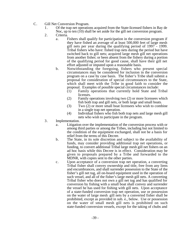- C. Gill Net Conversion Program.
	- 1. Of the trap net operations acquired from the State-licensed fishers in Bay de Noc, up to ten (10) shall be set aside for the gill net conversion program.
	- 2. Criteria.
		- a. Fishers shall qualify for participation in the conversion program if they have fished an average of at least 500,000 feet of large mesh gill nets per year during the qualifying period of 1997 - 1999. Tribal fishers who have: fished trap nets during the period but have switched back to gill nets; acquired large mesh gill net operations from another fisher; or been absent from the fishery during a portion of the qualifying period for good cause, shall have their gill net effort adjusted or imputed upon a reasonable basis.
		- b. Notwithstanding the foregoing, fishers who present special circumstances may be considered for inclusion in the conversion program on a case by case basis. The fisher's Tribe shall submit a proposal for consideration of special circumstances to the State, which shall meet with the Tribe in good faith to consider the proposal. Examples of possible special circumstances include:
			- (1) Family operations that currently hold State and Tribal licenses.
			- (2) Family operations involving two (2) or more licensees which fish both trap and gill nets, or both large and small boats.
			- (3) Two (2) or more small boat licensees who wish to combine in a single trap net operation.
			- (4) Individual fishers who fish both trap nets and large mesh gill nets who wish to participate in the program.
	- 3. Implementation.
		- a. Litigation over the implementation of the conversion process with or among third parties or among the Tribes, including but not limited to the condition of the equipment exchanged, shall not be a basis for relief from the terms of this Decree.
		- b. The State, in its sole discretion and subject to the availability of funds, may consider providing additional trap net operations, or funding, to convert additional Tribal large mesh gill net fishers on an ad hoc basis while this Decree is in effect. Consideration may be given to proposals prepared by a Tribe and forwarded to the MDNR, with copies sent to the other parties.
		- c. Upon acceptance of a conversion trap net operation, a converting Tribal fisher shall convey ownership and title, free from any liens and encumbrances, and shall surrender possession to the State of the fisher's gill net tug, all on-board equipment used in the operation of such vessel, and all of the fisher's large mesh gill nets. A converting Tribal fisher who does not own a gill net tug and has qualified for conversion by fishing with a small boat shall convey and surrender the vessel he has used for fishing with gill nets. Upon acceptance of a state-funded conversion trap net operation, use or possession on the water of large mesh gill nets by a converted fisher shall be prohibited, except as provided in sub. e., below. Use or possession on the water of small mesh gill nets is prohibited on such state-funded conversion vessels, except for the taking of chubs and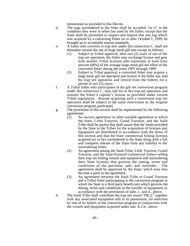menominee as provided in this Decree.

- d. The tugs surrendered to the State shall be accepted "as is" in the condition they were in when last used by the fisher, except that the State shall be permitted to inspect and require that any tug which was acquired by a converting fisher on or after October 1, 1999, be brought up to acceptable marine standards.
- e. A fisher who converts to trap nets under this subsection C. shall not thereafter resume the use of large mesh gill nets except as follows:
	- (1) Subject to Tribal approval, after two (2) years of use of the trap net operation, the fisher may exchange license and gear with another Tribal licensee who represents at least sixty percent (60%) of the average large mesh gill net effort of the converted fisher during the years 1997 through 1999.
	- (2) Subject to Tribal approval, a converted fisher may acquire a large mesh gill net operation and license if the fisher has sold his trap net operation and retired from the fishery for a period of two (2) years.
- f. A Tribal fisher who participates in the gill net conversion program under this subsection C. may sell his or her trap net operation and transfer the fisher's captain's license as provided under current Tribal regulations. Anyone acquiring such a conversion trap net operation shall be subject to the same restrictions as the original conversion program participant.
- g. The provisions of this section shall be implemented by the following agreements:
	- (1) An escrow agreement or other suitable agreement to which the State, Little Traverse, Grand Traverse, and the Sault Tribe shall be parties that shall assure that the funds provided by the State to the Tribes for the acquisition of licenses and equipment are distributed in accordance with the terms of this section and that the State commercial fishing licenses acquired are in fact surrendered to the State along with a full and complete release of the State from any liability to the surrendering fisher.
	- (2) An agreement among the Sault Tribe, Little Traverse, Grand Traverse, and the State-licensed commercial fishers selling their trap net fishing vessels and equipment and surrendering their State licenses that governs the timing, terms and conditions of the purchase, sale, and surrender. The agreement shall be approved by the State, which may also become a party to the agreement.
	- (3) An agreement between the Sault Tribe or Grand Traverse and a Tribal fisher participating in the conversion program to which the State is a third party beneficiary which governs the timing, terms and conditions of the transfer of equipment in accordance with the provisions of subs. c. and d., above.
- h. The Sault Tribe shall contribute the trap net vessel "PB-2," together with any associated equipment still in its possession, for selection by one of its fishers in the conversion program in conjunction with the vessels and equipment acquired under sub. A.2.b., above.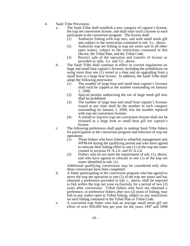- 4. Sault Tribe Provisions.
	- a. The Sault Tribe shall establish a new category of captain's license, the trap net conversion license, and shall issue such a license to each participant in the conversion program. The license shall:
		- (1) Authorize fishing with trap nets, and with small mesh gill nets subject to the restrictions contained in sub. 3.c., above.
		- (2) Authorize trap net fishing in trap net zones and in all other open waters, subject to the restrictions contained in this Decree, the Tribal Plan, and the Tribal Code.
		- (3) Restrict sale of the operation and transfer of license as provided in subs. 3.e. and 3.f., above.
	- b. The Sault Tribe shall continue in effect its current regulations on large and small boat captain's licenses, including the prohibitions on using more than one (1) vessel at a time and on upgrading from a small boat to a large boat license. In addition, the Sault Tribe shall adopt the following provisions:
		- (1) The number of large boat and small boat captain's licenses shall each be capped at the number outstanding on January 1, 2000.
		- (2) Special permits authorizing the use of large mesh gill nets shall be prohibited.
		- (3) The number of large boat and small boat captain's licenses issued at any time shall be the number in each category outstanding on January 1, 2000, less the number replaced with trap net conversion licenses.
		- (4) A retired or inactive trap net conversion license shall not be reissued as a large boat or small boat gill net captain's license.
	- c. The following preferences shall apply in ranking Sault Tribe fishers for participation in the conversion program and selection of trap net operations:
		- (1) Those fishers who have fished in whitefish management unit WFM-04 during the qualifying period and who have agreed to relocate their fishing effort to one (1) of the trap net zones created in sections IV.A.1.b. and IV.A.2.d.
		- (2) Fishers who do not meet the requirement of sub. (1), above, and who have agreed to relocate to one (1) of the trap net zones identified in sub. (1).

Additional qualifying conversions may be considered only after these conversions have been completed.

- d. A fisher participating in the conversion program who has agreed to move the trap net operation to one (1) of the trap net zones and has obtained a preference provided in sub. c., above, shall be required to fish within the trap net zone exclusively for a period of two (2) years after conversion. Tribal fishers who have not obtained a preference, or preference fishers after two (2) years of fishing, may fish in any waters open to Tribal fishing, subject to any restrictions on such fishing contained in the Tribal Plan or Tribal Code.
- e. A converted trap fisher who had an average small mesh gill net effort of over 950,000 feet per year for the years 1997 and 1998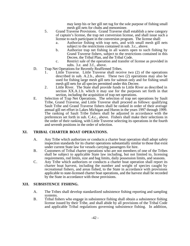may keep his or her gill net tug for the sole purpose of fishing small mesh gill nets for chubs and menominee.

- 5. Grand Traverse Provisions. Grand Traverse shall establish a new category of captain's license, the trap net conversion license, and shall issue such a license to each participant in the conversion program. The license shall:
	- a. Authorize fishing with trap nets, and with small mesh gill nets subject to the restrictions contained in sub. 3.c., above.
	- b. Authorize trap net fishing in all waters open to such fishing by Grand Traverse fishers, subject to the restrictions contained in this Decree, the Tribal Plan, and the Tribal Code.
	- c. Restrict sale of the operation and transfer of license as provided in subs. 3.e. and 3.f., above.
- D. Trap Net Operations for Recently Reaffirmed Tribes.
	- 1. Little Traverse. Little Traverse shall receive two (2) of the operations described in sub. A.2.b., above. These two (2) operations may also be used for fishing large mesh gill nets for salmon only and for fishing small mesh gill nets for all species permitted under this Decree.
	- 2. Little River. The State shall provide funds to Little River as described in section XX.A.1.b. which it may use for the purposes set forth in that section, including the acquisition of trap net operations.
- E. Selection of Trap Net Operations. The selection of trap net operations by Sault Tribe, Grand Traverse, and Little Traverse shall proceed as follows: qualifying Sault Tribe and Grand Traverse fishers shall be ranked in order of their average annual gill net effort in Lakes Michigan and Huron in the years 1997 through 1999. The ranking of Sault Tribe fishers shall be adjusted in accordance with the preferences set forth in sub. C.4.c., above. Fishers shall make their selections in the order of their ranking, with Little Traverse selecting its operations in the fourth and seventh positions in the order of selection.

# **XI. TRIBAL CHARTER BOAT OPERATIONS.**

- A. Any Tribe which authorizes or conducts a charter boat operation shall adopt safety inspection standards for its charter operations substantially similar to those that exist under current State law for vessels carrying passengers for hire.
- B. Customers of Tribal charter operations who are not members of one of the Tribes shall be subject to applicable State law including, but not limited to, licensing requirements, rod limits, size and bag limits, daily possession limits, and seasons.
- C. Any Tribe which authorizes or conducts a charter boat operation shall report its charter boat harvest, including the number and weight of species caught by recreational fishers, and areas fished, to the State in accordance with provisions applicable to state-licensed charter boat operations, and the harvest shall be recorded by the State in accordance with those provisions.

#### **XII. SUBSISTENCE FISHING.**

- A. The Tribes shall develop standardized subsistence fishing reporting and sampling systems.
- B. Tribal fishers who engage in subsistence fishing shall obtain a subsistence fishing license issued by their Tribe, and shall abide by all provisions of the Tribal Code and applicable Tribal regulations governing subsistence fishing. In addition,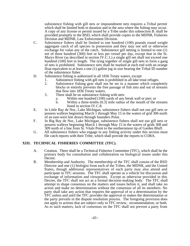subsistence fishing with gill nets or impoundment nets requires a Tribal permit which shall be limited both in duration and in the area where the fishing may occur. A copy of any license or permit issued by a Tribe under this subsection B. shall be provided promptly to the BSD, which shall provide copies to the MDNR, Fisheries Division and MDNR, Law Enforcement Division.

- C. Subsistence fishers shall be limited to one hundred (100) pounds round weight aggregate catch of all species in possession and they may not sell or otherwise exchange for value any of the catch. Subsistence gill netting is limited to one (1) net of three hundred (300) feet or less per vessel per day, except that in the St. Marys River (as described in section IV.C.1.) a single gill net shall not exceed one hundred (100) feet in length. The tying together of single gill nets to form a gang of nets is prohibited. Subsistence nets shall be marked at each end with an orange float equivalent to at least a one (1) gallon jug in size bearing the Tribal ID number of the subsistence fisher.
- D. Subsistence fishing is authorized in all 1836 Treaty waters, except:
	- 1. Subsistence fishing with gill nets is prohibited in all lake trout refuges.<br>2. Subsistence fishing gear shall not be set in a manner which complete
		- Subsistence fishing gear shall not be set in a manner which completely blocks or entirely prevents the free passage of fish into and out of streams that flow into 1836 Treaty waters.
		- 3. There shall be no subsistence fishing with nets:
			- a. Within one hundred (100) yards of any break wall or pier; or
			- b. Within a three-tenths (0.3) mile radius of the mouth of the streams listed in section IV.C.8.
- E. In Little Bay de Noc, Lake Michigan, subsistence fishers shall not use gill nets or possess walleye beginning March 1 through May 15 in the waters of grid 306 north of an east-west line drawn through Saunders Point.
- F. In Big Bay de Noc, Lake Michigan, subsistence fishers shall not use gill nets or possess walleye beginning March 1 through May 15 in the waters of grids 308 and 309 north of a line from St. Vitals Point to the northernmost tip of Garden Bluff.
- G. All subsistence fishers who engage in any fishing activity under this section must file catch reports with their Tribe, which shall provide the reports to CORA.

# **XIII. TECHNICAL FISHERIES COMMITTEE (TFC).**

- A. Creation. There shall be a Technical Fisheries Committee (TFC), which shall be the primary body for consultation and collaboration on biological issues under this Decree.
- B. Membership and Authority. The membership of the TFC shall consist of the BSD Director and one (1) biologist from each of the Tribes, the MDNR, and the United States, though additional representatives of each party may also attend and participate in TFC sessions. The TFC shall operate as a vehicle for discussion and exchange of information and viewpoints. Except as otherwise provided in this Decree, the TFC shall not act as a formal decision-making body. The TFC shall attempt to shape consensus on the matters and issues before it, and shall take no action and make no determination without the consensus of all its members. No party shall take any action that requires the approval of or a determination by the TFC unless and until the TFC provides the approval or makes the determination or the party prevails in the dispute resolution process. The foregoing provision does not apply to actions that are subject only to TFC review, recommendation, or both. As to such matters, lack of consensus on the TFC shall not prevent a party from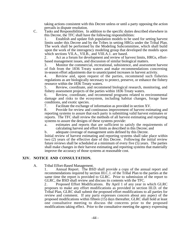taking actions consistent with this Decree unless or until a party opposing the action prevails in dispute resolution.

C. Tasks and Responsibilities. In addition to the specific duties described elsewhere in this Decree, the TFC shall have the following responsibilities:

1. Establish and update fish population models to be used for setting harvest limits under this Decree and by the Tribes in setting HRGs under the Tribal Plan. The work shall be performed by the Modeling Subcommittee, which shall build upon the work of the interagency modeling group that developed the models upon which sections VII.A., VII.B., and VIII.A.1. are based.

2. Act as a forum for development and review of harvest limits, HRGs, effortbased management issues, and discussion of similar biological matters.

3. Monitor the commercial, recreational, subsistence, and assessment harvest of fish from the 1836 Treaty waters and make recommendations concerning in-season effort adjustments due to unanticipated increases in harvest activity.

4. Review and, upon request of the parties, recommend such fisheries regulations as are biologically necessary to protect, preserve, or enhance the fishery resource within the 1836 Treaty waters.

5. Review, coordinate, and recommend biological research, monitoring, and fishery assessment projects of the parties within 1836 Treaty waters.

6. Review, coordinate, and recommend programs related to environmental damage and risks to the ecosystem, including habitat changes, forage base conditions, and exotic species.<br>7. Facilitate the exchange

7. Facilitate the exchange of information as provided in section XV.<br>8. Provide for review and continuous improvement of harvest estin

Provide for review and continuous improvement of harvest estimating and reporting systems to assure that each party is submitting valid harvest estimates or reports. The TFC shall review the methods of all harvest estimating and reporting systems to assure the designs of these systems provide:

- a. estimates and reports that are sufficient to satisfy the requirements of calculating harvest and effort limits as described in this Decree; and
- b. adequate coverage of management units defined by this Decree.

Initial review of harvest estimating and reporting systems shall take place within two (2) years of the effective date of this Decree. Following the initial review future reviews shall be scheduled at a minimum of every five (5) years. The parties shall make changes in their harvest estimating and reporting systems that materially improve the accuracy of those systems at reasonable cost.

#### **XIV. NOTICE AND CONSULTATION.**

A. Tribal Effort-Based Management.

1. Annual Report. The BSD shall provide a copy of the annual report and recommendations required by section III.C.1. of the Tribal Plan to the parties at the same time the report is provided to GLRC. Prior to submission of the report to GLRC, the BSD shall review and discuss its contents with the TFC.

2. Proposed Effort Modifications. By April 1 of any year in which GLRC proposes to make any effort modifications as provided in section III.D. of the Tribal Plan, GLRC shall submit the proposed effort modifications to all parties for review and comment. If any party expresses concern about any aspect of the proposed modifications within fifteen (15) days thereafter, GLRC shall hold at least one consultative meeting to discuss the concerns prior to the proposed modifications taking effect. Prior to the consultative meeting the agency expressing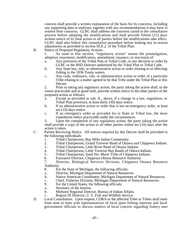concern shall provide a written explanation of the basis for its concerns, including any supporting data or analyses, together with any recommendations it may have to resolve their concerns. GLRC shall address the concerns raised in the consultative process before adopting the modifications and shall provide fifteen (15) days written notice of its final action to all parties before the modifications take effect. GLRC shall also follow this consultative procedure before making any in-season adjustments as provided in section III.E.2. of the Tribal Plan.

B. Notice of Proposed Regulatory Actions.

1. As used in this section, "regulatory action" means the promulgation, adoption, enactment, modification, amendment, issuance, or rescission of:

- a. Any provision of the Tribal Plan or Tribal Code, or any decision or order by GLRC or the BSD Director authorized by the Tribal Plan or Tribal Code.
- b. Any State law, rule, or administrative action or order relating to or affecting fishing in the 1836 Treaty waters.
- c. Any code, ordinance, rule, or administrative action or order of a particular Tribe relating to a matter agreed to by that Tribe under the Tribal Plan or this Decree.

2. Prior to taking any regulatory action, the party taking the action shall, to the extent practicable and in good faith, provide written notice to the other parties of the proposed action as follows:

- a. Except as provided in sub. A., above, if a change in a law, regulation, or Tribal Plan provision, at least thirty (30) days notice.
- b. If an administrative action or order that is not an emergency order, at least ten (10) days notice.
- c. If an emergency order as provided for in State or Tribal law, the most expeditious notice practicable under the circumstances.

3. Upon the completion of any regulatory action, the party taking the action shall provide a copy of the action to all other parties within ten (10) days after the action is taken.

- C. Parties Receiving Notice. All notices required by this Decree shall be provided to the following individuals:
	- 1. Tribal Chairperson, Bay Mills Indian Community.<br>2. Tribal Chairperson, Grand Traverse Band of Ottaw
	- 2. Tribal Chairperson, Grand Traverse Band of Ottawa and Chippewa Indians.<br>3. Tribal Chairperson, Little River Band of Ottawa Indians.
	-
	- 3. Tribal Chairperson, Little River Band of Ottawa Indians.<br>4. Tribal Chairperson, Little Traverse Bay Bands of Odawa 4. Tribal Chairperson, Little Traverse Bay Bands of Odawa Indians.<br>5. Tribal Chairperson, Sault Ste. Marie Tribe of Chippewa Indians.
	- 5. Tribal Chairperson, Sault Ste. Marie Tribe of Chippewa Indians.
	- 6. Executive Director, Chippewa Ottawa Resource Authority.

7. Director, Biological Services Division, Chippewa Ottawa Resource Authority.

- 8. For the State of Michigan, the following officials:
- a. Director, Michigan Department of Natural Resources.
- b. Native American Coordinator, Michigan Department of Natural Resources.
- c. Chief, Fisheries Division, Michigan Department of Natural Resources.<br>9. For the United States, the following officials:
- For the United States, the following officials:
- a. Secretary of the Interior.
- b. Midwest Regional Director, Bureau of Indian Affairs.
- c. Region III Director, U. S. Fish and Wildlife Service.
- D. Local Consultation. Upon request, CORA or the affected Tribe or Tribes shall meet from time to time with representatives of local sport fishing interests and local government officials to discuss matters of local concern regarding fishery user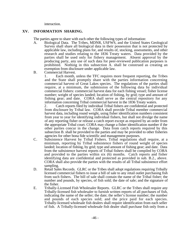interaction.

#### **XV. INFORMATION SHARING.**

The parties agree to share with each other the following types of information:

- A. Biological Data. The Tribes, MDNR, USFWS, and the United States Geological Survey shall share all biological data in their possession that is not protected by applicable law, including plans for, and results of, stocking, assessments, and other research and studies relating to the 1836 Treaty waters. Data provided by the parties shall be used only for fishery management. Absent approval by the producing party, any use of such data for peer-reviewed publication purposes is prohibited. Nothing in this subsection A. shall be construed as creating an exemption from disclosure under applicable law.
- B. Commercial Harvest.

1. Each month, unless the TFC requires more frequent reporting, the Tribes and the State shall promptly share with the parties information concerning commercial harvest of Great Lakes species. The regulations of the parties shall require, at a minimum, the submission of the following data by individual commercial fishers: commercial harvest data for each fishing vessel; fisher license number; weight of species landed; location of fishing, by grid; type and amount of fishing gear; and date. CORA shall serve as the central repository for any information concerning Tribal commercial harvest in the 1836 Treaty waters.

2. Catch reports filed by individual Tribal fishers are confidential and protected from disclosure by Tribal law. CORA shall provide Tribal member commercial harvest data, including round weight, using fisher identification numbers consistent from year to year for identifying individual fishers, but shall not divulge the name of any reporting fisher or release a catch report except as required by an order from the appropriate Tribal court. CORA may change a fisher identification number if the other parties concur in the change. Data from catch reports required by this subsection B. shall be provided to the parties and may be provided to other fisheries agencies for other bona fide scientific and management purposes.

- C. Subsistence Harvest by Tribal Fishers. Tribal regulations shall require, at a minimum, reporting by Tribal subsistence fishers of round weight of species landed; location of fishing, by grid; type and amount of fishing gear; and date. Data from the subsistence harvest reports of Tribal fishers shall be compiled by CORA and provided to the parties within six (6) months. Catch reports and fisher identifying data are confidential and protected as provided in sub. B.2., above. CORA shall also provide the parties with the results of all Tribal subsistence effort sampling.
- D. Retail Sales Records. GLRC or the Tribes shall adopt regulations requiring Tribally licensed commercial fishers to issue a bill of sale to any retail outlet purchasing fish from such fishers. The bill of sale shall contain the name of the Tribal fisher; the number and pounds, by species, of fish sold; the date of sale; and the signature of the fisher.
- E. Tribally-Licensed Fish Wholesaler Reports. GLRC or the Tribes shall require any Tribally-licensed fish wholesaler to furnish written reports of all purchases of fish, indicating the name of the seller; the date; the seller's license number; the number and pounds of each species sold; and the price paid for each species. Tribally-licensed wholesale fish dealers shall require identification from each seller of fish. A Tribally-licensed wholesale fish dealer shall purchase fish only from a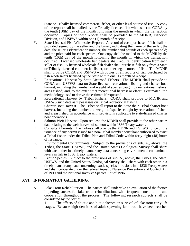State or Tribally licensed commercial fisher, or other legal source of fish. A copy of the report shall be mailed by the Tribally-licensed fish wholesaler to CORA by the tenth (10th) day of the month following the month in which the transaction occurred.Copies of these reports shall be provided to the MDNR, Fisheries Division, and USFWS within one (1) month of receipt.

- F. State-Licensed Fish Wholesaler Reports. A record of each purchase of fish shall be provided signed by the seller and the buyer, indicating the name of the seller; the date; the seller's identification number; the number and pounds of each species sold; and the price paid for each species. One copy shall be mailed to the MDNR by the tenth (10th) day of the month following the month in which the transaction occurred. Licensed wholesale fish dealers shall require identification from each seller of fish. A licensed wholesale fish dealer shall purchase fish only from a State or Tribally licensed commercial fisher, or other legal source of fish. The MDNR shall provide CORA and USFWS with copies of all reports of fish purchased by fish wholesalers licensed by the State within one (1) month of receipt.
- G. Recreational Harvest by State-Licensed Fishers. The MDNR shall provide to CORA and USFWS data on State-licensed recreational fishing and charter boat harvest, including the number and weight of species caught by recreational fishers; areas fished; and, to the extent that recreational harvest or effort is estimated, the methodology used to derive the estimate if requested.
- H. Recreational Harvest by Tribal Fishers. CORA shall provide to MDNR and USFWS such data as it possesses on Tribal recreational fishing.
- I. Charter Boat Harvest. The Tribes shall report to the State their Tribal charter boat harvest, including the number and weight of species caught by recreational fishers and areas fished, in accordance with provisions applicable to state-licensed charter boat operations.
- J. Salmon Weir Harvest. Upon request, the MDNR shall provide to the other parties data relating to the weir harvest of salmon within 1836 Treaty waters.
- K. Consultant Permits. The Tribes shall provide the MDNR and USFWS notice of the issuance of any permit issued to a non-Tribal member consultant authorized to assist a Tribal fisher under the Tribal Plan and Tribal Code within forty-eight (48) hours of issuance.
- L. Environmental Contaminants. Subject to the provisions of sub. A., above, the Tribes, the State, USFWS, and the United States Geological Survey shall share with each other in a timely manner any data concerning environmental contaminant levels in fish in 1836 Treaty waters.
- M. Exotic Species. Subject to the provisions of sub. A., above, the Tribes, the State, USFWS, and the United States Geological Survey shall share with each other in a timely manner any data concerning exotic species intrusions into 1836 Treaty waters and shall cooperate under the federal Aquatic Nuisance Prevention and Control Act of 1990 and the National Invasive Species Act of 1996.

# **XVI. INFORMATION GATHERING.**

A. Lake Trout Rehabilitation. The parties shall undertake an evaluation of the factors impeding successful lake trout rehabilitation, with frequent consultation and cooperation throughout the process. The following research subjects shall be considered by the parties:

1. The effects of abiotic and biotic factors on survival of lake trout early life stages. Because high densities of adult spawning lake trout have been reached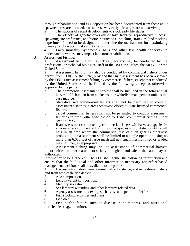through rehabilitation, and egg deposition has been documented from these adult spawners, research is needed to address why early life stages are not surviving.<br>2. The success of recent developments to stock early life stages.

The success of recent developments to stock early life stages.

3. The effects of genetic diversity of lake trout on reproductive success, spawning site preference, and biotic interactions. Stocking strategies (and stocking experiments) need to be designed to determine the mechanisms for maximizing phenotypic diversity in lake trout strains.

4. Early mortality syndrome (EMS) and other fish health concerns, to understand how these may impact lake trout rehabilitation.

B. Assessment Fishing.

1. Assessment fishing in 1836 Treaty waters may be conducted by the professional or technical biological staff of the BSD, the Tribes, the MDNR, or the United States.

2. Assessment fishing may also be conducted by commercial fishers under permit from CORA or the State, provided that such assessment has been reviewed by the TFC. Such assessment fishing by commercial fishers, except that conducted by the United States, shall be limited by the following, except as otherwise approved by the parties:

- a. The commercial assessment harvest shall be included in the total annual harvest of fish taken from a lake trout or whitefish management unit, as the case may be.
- b. State-licensed commercial fishers shall not be permitted to conduct assessment fisheries in areas otherwise closed to State-licensed commercial fishers.
- c. Tribal commercial fishers shall not be permitted to conduct assessment fisheries in areas otherwise closed to Tribal commercial fishing under section IV.C.
- d. If an assessment conducted by commercial fishers will harvest a species in an area where commercial fishing for that species is prohibited or utilize gill nets in an area where the commercial use of such gear is otherwise prohibited, the assessment shall be limited to a single operation using no more than 6,000 feet of large mesh gill net, small mesh gill net, or graded mesh gill net, as appropriate.

3. Assessment fishing may include assessment of commercial harvest opportunities or other matters not strictly biological, and sale of the catch may be authorized.

C. Information to be Gathered. The TFC shall gather the following information and ensure that the biological and other information necessary for effort-based management decisions shall be available to the parties:

1. Harvest information from commercial, subsistence, and recreational fishers and from wholesale fish dealers.

- 2. Age composition.<br>3. Length/weight com
- 3. Length/weight composition.<br>4. Maturity/sex ratio.
- 4. Maturity/sex ratio.<br>5. Sea lamprey wound
- 5. Sea lamprey wounding and other lamprey-related data.<br>6. Agency assessment indexing, such as bycatch per unit
- 6. Agency assessment indexing, such as bycatch per unit of effort.<br>7. Fish stocking activities and plans.
- Fish stocking activities and plans.
- 8. Fish diet.

9. Fish health factors such as disease, contaminants, and nutritional deficiencies (e.g., thiamine).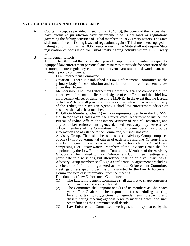# **XVII. JURISDICTION AND ENFORCEMENT.**

- A. Courts. Except as provided in section IV.A.2.d.(3), the courts of the Tribes shall have exclusive jurisdiction over enforcement of Tribal laws or regulations governing the fishing activities of Tribal members in 1836 Treaty waters. The State shall not enforce its fishing laws and regulations against Tribal members engaged in fishing activity within the 1836 Treaty waters. The State shall not require State registration of boats used for Tribal treaty fishing activity within 1836 Treaty waters.
- B. Enforcement Efforts.

1. The State and the Tribes shall provide, support, and maintain adequately equipped law enforcement personnel and resources to provide for protection of the resource, insure regulatory compliance, prevent harassment and vandalism, and maintain public confidence.

- 2. Law Enforcement Committee.
- a. Creation. There is established a Law Enforcement Committee as the primary body for consultation and collaboration on enforcement issues under this Decree.
- b. Membership. The Law Enforcement Committee shall be composed of the chief law enforcement officer or designee of each Tribe and the chief law enforcement officer or designee of the MDNR. In the event that the Bureau of Indian Affairs shall provide conservation law enforcement services to any of the Tribes, the Michigan Agency's chief law enforcement officer or designee shall also be a member.
- c. Ex Officio Members. One (1) or more representatives from the USFWS, the United States Coast Guard, the United States Department of Justice, the Bureau of Indian Affairs, the Ontario Ministry of Natural Resources, and any other law enforcement agency deemed necessary may serve as ex officio members of the Committee. Ex officio members may provide information and assistance to the Committee, but shall not vote.
- d. Advisory Group. There shall be established an Advisory Group composed of one (1) non-governmental citizen of each Tribe and one (1) non-Tribal member non-governmental citizen representative for each of the Great Lakes comprising 1836 Treaty waters. Members of the Advisory Group shall be appointed by the Law Enforcement Committee. Members of the Advisory Group shall be invited to Law Enforcement Committee meetings and participate in discussions, but attendance shall be on a voluntary basis. Advisory Group members shall sign a confidentiality agreement precluding disclosure of information gathered at the Law Enforcement Committee meetings unless specific permission is granted by the Law Enforcement Committee to release information from the meeting.
- e. Functioning of Law Enforcement Committee.
	- (1) The Law Enforcement Committee shall attempt to shape consensus on the matters and issues before it.
	- (2) The Committee shall appoint one (1) of its members as Chair each year. The Chair shall be responsible for scheduling meeting locations, taking suggestions for agenda items, preparing and disseminating meeting agendas prior to meeting dates, and such other duties as the Committee shall decide.
	- (3) Law Enforcement Committee meetings shall be sponsored by the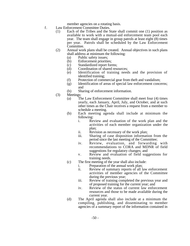member agencies on a rotating basis.

- f. Law Enforcement Committee Duties.
	- (1) Each of the Tribes and the State shall commit one (1) position as available to work with a mutual-aid enforcement team pool each year. The team shall engage in group patrols at least eight (8) times per year. Patrols shall be scheduled by the Law Enforcement Committee.
	- (2) Annual work plans shall be created. Annual objectives in such plans shall address at minimum the following:
		-
		- (a) Public safety issues;<br>(b) Enforcement priorities Enforcement priorities;
		- (c) Standardized report forms;
		- (d) Coordination of shared resources;
		- (e) Identification of training needs and the provision of identified training;
		- (f) Protection of commercial gear from theft and vandalism;
		- (g) Identification of areas of special law enforcement concerns; and
		- (h) Sharing of enforcement information.
	- (3) Meetings:
		- (a) The Law Enforcement Committee shall meet four (4) times yearly, each January, April, July, and October, and at such other times as the Chair receives a request from a member to schedule a meeting.
		- (b) Each meeting agenda shall include at minimum the following:
			- i. Review and evaluation of the work plan and the activities of each member organization under the plan;
			- ii. Revision as necessary of the work plan;
			- iii. Sharing of case disposition information from the period since the last meeting of the Committee;
			- iv. Review, evaluation, and forwarding with recommendations to CORA and MDNR of field suggestions for regulatory changes; and
			- v. Review and evaluation of field suggestions for training needs.
		- (c) The first meeting of the year shall also include:
			- i. Preparation of the annual work plan;<br>ii. Review of summary reports of all la
			- Review of summary reports of all law enforcement activities of member agencies of the Committee during the previous year;
			- iii. Review of training completed the previous year and of proposed training for the current year; and
			- iv. Review of the status of current law enforcement resources and those to be made available during the current year.
		- (d) The April agenda shall also include at a minimum the compiling, publishing, and disseminating to member agencies of a summary report of the information contained in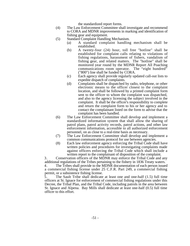the standardized report forms.

- (4) The Law Enforcement Committee shall investigate and recommend to CORA and MDNR improvements in marking and identification of fishing gear and equipment.
- (5) Standard Complaint Handling Mechanism.
	- (a) A standard complaint handling mechanism shall be established.
	- (b) A twenty-four (24) hour, toll free "hotline" shall be established for complaint calls relating to violations of fishing regulations, harassment of fishers, vandalism of fishing gear, and related matters. The "hotline" shall be monitored year round by the MDNR Report All Poaching communications room operator. The "eight hundred" ("800") line shall be funded by CORA.
	- (c) Each agency shall provide regularly updated call-out lists to expedite dispatch of complaints.
	- (d) Complaints shall be dispatched by radio, telephone, or other electronic means to the officer closest to the complaint location, and shall be followed by a printed complaint form sent to the officer to whom the complaint was dispatched, and also to the agency licensing the subject involved in the complaint. It shall be the officer's responsibility to complete and return the complaint form to his or her agency and to contact the complainant listed on the form to advise that the complaint has been handled.
- (6) The Law Enforcement Committee shall develop and implement a standardized information system that shall allow the sharing of patrol plans, patrol activity records, patrol actions, and other law enforcement information, accessible to all authorized enforcement personnel, on as close to a real-time basis as necessary.
- (7) The Law Enforcement Committee shall develop and implement a common communications protocol for use between agencies.
- (8) Each law enforcement agency enforcing the Tribal Code shall have written policies and procedures for investigating complaints made against officers enforcing the Tribal Code which shall include a written report to the complainant of disposition of the complaint.

3. Conservation officers of the MDNR may enforce the Tribal Code and any additional regulations of the Tribes pertaining to the fishery in 1836 Treaty waters.

4. The Tribes shall provide to the MDNR documentation of each person issued a commercial fishing license under 25 C.F.R. Part 249, a commercial fishing permit, or a subsistence fishing license.<br>5. The Sault Tribe shall dedicate

5. The Sault Tribe shall dedicate at least one and one-half (1.5) full time officers at St. Ignace for enforcement of commercial fishing regulations under this Decree, the Tribal Plan, and the Tribal Code, including patrols in the area between St. Ignace and Alpena. Bay Mills shall dedicate at least one-half (0.5) full time officer to this effort.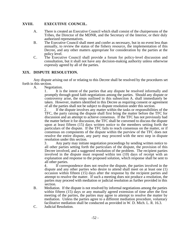# **XVIII. EXECUTIVE COUNCIL.**

- A. There is created an Executive Council which shall consist of the chairpersons of the Tribes, the Director of the MDNR, and the Secretary of the Interior, or their duly authorized representatives.
- B. The Executive Council shall meet and confer as necessary, but in no event less than annually, to review the status of the fishery resource, the implementation of this Decree, and any other matters appropriate for consideration by the parties at the policy level.
- C. The Executive Council shall provide a forum for policy-level discussion and consultation, but it shall not have any decision-making authority unless otherwise expressly agreed by all of the parties.

#### **XIX. DISPUTE RESOLUTION.**

Any dispute arising out of or relating to this Decree shall be resolved by the procedures set forth in this section.

A. Negotiation.

1. It is the intent of the parties that any dispute be resolved informally and promptly through good faith negotiations among the parties. Should any dispute or controversy arise, the steps outlined in this subsection A. shall immediately be taken. However, matters identified in this Decree as requiring consent or agreement of all the parties shall not be subject to dispute resolution under this section.

2. If the dispute involves any matter within the tasks or responsibilities of the TFC, the party raising the dispute shall first bring the matter before the TFC for discussion and an attempt to achieve consensus. If the TFC has not previously had the matter before it for discussion, the TFC shall be convened to discuss the dispute upon at least fifteen (15) days written notice to the members setting forth the particulars of the dispute. If the TFC fails to reach consensus on the matter, or if consensus on components of the dispute within the purview of the TFC does not resolve the entire dispute, any party may proceed with the next step in dispute resolution under this section.

3. Any party may initiate negotiation proceedings by sending written notice to all other parties setting forth the particulars of the dispute, the provision of this Decree involved, and a suggested resolution of the problem. The recipient parties involved in the dispute must respond within ten (10) days of receipt with an explanation and response to the proposed solution, which response shall be sent to all other parties.

4. If correspondence does not resolve the dispute, the parties involved in the dispute and any other parties who desire to attend shall meet on at least one (1) occasion within fifteen (15) days after the response by the recipient parties and attempt to resolve the matter. If such a meeting does not produce a resolution, the parties may proceed with mediation or judicial resolution as further provided in this section.

- B. Mediation. If the dispute is not resolved by informal negotiations among the parties within fifteen (15) days or any mutually agreed extension of time after the first meeting of the parties, the parties may agree to attempt to resolve the matter by mediation. Unless the parties agree to a different mediation procedure, voluntary facilitative mediation shall be conducted as provided in W. D. Mich. L. R. 16.3.
- C. Judicial Resolution.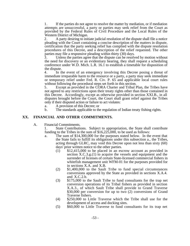1. If the parties do not agree to resolve the matter by mediation, or if mediation attempts are unsuccessful, a party or parties may seek relief from the Court as provided by the Federal Rules of Civil Procedure and the Local Rules of the Western District of Michigan.

2. A party desiring to initiate judicial resolution of the dispute shall file a notice pleading with the Court containing a concise description of the matters in dispute, certification that the party seeking relief has complied with the dispute resolution procedures of this Decree, and a description of the relief requested. The other parties may file a responsive pleading within thirty (30) days.<br>3. Unless the parties agree that the dispute can be resolved.

Unless the parties agree that the dispute can be resolved by motion without the need for discovery or an evidentiary hearing, they shall request a scheduling conference under W.D. Mich. L.R. 16.1 to establish a timetable for disposition of the dispute.

4. In the event of an emergency involving this Decree posing a threat of immediate irreparable harm to the resource or a party, a party may seek immediate or temporary relief under Fed. R. Civ. P. 65 and applicable local court rules without following the procedural steps set forth in this section.

5. Except as provided in the CORA Charter and Tribal Plan, the Tribes have not agreed to any restrictions upon their treaty rights other than those contained in this Decree. Accordingly, except as otherwise provided in section XXI.B., in all disputes brought before the Court, the Court shall grant relief against the Tribes only if their disputed action or failure to act violates:

- a. A provision of this Decree; or
- b. The standards applicable to the regulation of Indian treaty fishing rights.

#### **XX. FINANCIAL AND OTHER COMMITMENTS.**

A. Financial Commitments.

1. State Contributions. Subject to appropriation, the State shall contribute funding to the Tribes in the sum of \$16,225,000, to be used as follows:

- a. The sum of \$14,300,000 for the purposes stated below. In the event that the State fails to fulfill its obligations under this subsection a., the Tribes, acting through GLRC, may void this Decree upon not less than sixty (60) days' prior written notice to the other parties.
	- (1) \$12,415,000 to be placed in an escrow account as provided in section X.C.3.g.(1) to acquire the vessels and equipment and the surrender of licenses of certain State-licensed commercial fishers in whitefish management unit WFM-01 for the purposes provided for in sections X.A. and X.B.
	- (2) \$1,400,000 to the Sault Tribe to fund special circumstances conversions approved by the State as provided in sections X.A.4. and X.C.2.b.
	- (3) \$175,000 to the Sault Tribe to fund consultants for the trap net conversion operations of its Tribal fishers as provided in section X.A.3., of which Sault Tribe shall provide to Grand Traverse \$30,000 per conversion for up to two (2) conversions of Grand Traverse fishers.
	- (4) \$250,000 to Little Traverse which the Tribe shall use for the development of access and docking sites.
	- (5) \$60,000 to Little Traverse to fund consultants for its trap net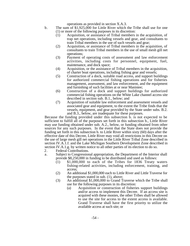operations as provided in section X.A.3.

- b. The sum of \$1,925,000 for Little River which the Tribe shall use for one (1) or more of the following purposes in its discretion:
	- (1) Acquisition, or assistance of Tribal members in the acquisition, of trap net operations, including vessels and gear, and consultants to train Tribal members in the use of such vessels and gear;
	- (2) Acquisition, or assistance of Tribal members in the acquisition, of consultants to train Tribal members in the use of small mesh gill net operations;
	- (3) Payment of operating costs of assessment and law enforcement activities, including costs for personnel, equipment, fuel, maintenance, and dock space;
	- (4) Acquisition, or the assistance of Tribal members in the acquisition, of charter boat operations, including fishing gear and vessels;
	- (5) Construction of a dock, suitable road access, and support buildings for authorized commercial fishing operations and for fisheries management, assessment, and law enforcement, and the equipment and furnishing of such facilities at or near Manistee;
	- (6) Construction of a dock and support buildings for authorized commercial fishing operations on the White Lake channel access site described in section sub. B.1., below; and
	- (7) Acquisition of suitable law enforcement and assessment vessels and associated gear and equipment, to the extent the Tribe finds that the vessels, equipment, and gear provided by the State under subs. B.2. and B.3., below, are inadequate for these purposes.

Because the funding provided under this subsection b. is not expected to be sufficient to fulfill all of the purposes set forth in this subsection b., Little River may use funding obtained under sub. A.2., below, or funding obtained from other sources for any such purposes. In the event that the State does not provide the funding set forth in this subsection b. to Little River within sixty (60) days after the effective date of this Decree, Little River may void all restrictions in this Decree on the use of large mesh gill net operations in the Little River Tribal Zone described in section IV.A.1.f. and the Lake Michigan Southern Development Zone described in section IV.A.1.g. by written notice to all other parties of its election to do so.<br>2. Federal Contributions.

- Federal Contributions.
- a. Subject to Congressional appropriation, the Department of the Interior shall provide \$8,250,000 in funding to be distributed and used as follows:
	- (1) \$1,000,000 to each of the Tribes for 1836 Treaty waters fishing-related activities, including enforcement, training, and access;
	- (2) An additional \$1,000,000 each to Little River and Little Traverse for the purposes stated in sub. (1), above;
	- (3) An additional \$1,000,000 to Grand Traverse which the Tribe shall use for the following purposes in its discretion:
		- (a) Acquisition or construction of fisheries support buildings and/or access to implement this Decree. If an access site is acquired with these monies, the other Tribes shall be allowed to use the site for access to the extent access is available. Grand Traverse shall have the first priority to utilize the available access at such site; or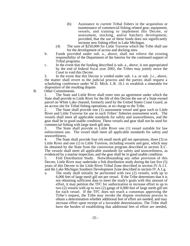- (b) Assistance to current Tribal fishers in the acquisition or maintenance of commercial fishing related gear, equipment, vessels, and training to implement this Decree, or assessment, stocking, and/or hatchery development; provided, that the use of these funds does not significantly increase new fishing effort in Lake Michigan.
- (4) The sum of \$250,000 for Little Traverse which the Tribe shall use for the development of access and docking sites.
- b. Funds provided under sub. a., above, shall not relieve the existing responsibility of the Department of the Interior for the continued support of Tribal programs.
- c. In the event that the funding described is sub. a., above, is not appropriated by the end of federal fiscal year 2002, the Tribes may jointly move the Court to void this Decree.

3. In the event that this Decree is voided under sub. 1.a. or sub. 2.c., above, the matter shall revert to the judicial process and the parties shall request a scheduling conference under W.D. Mich. L.R. 16.1 to establish a timetable for disposition of the resulting dispute.

B. Other Commitments.

1. The State and Little River shall enter into an agreement under which the State shall provide to Little River for the life of this Decree the use of a State-owned parcel on White Lake channel, formerly used by the United States Coast Guard, as an access site for Tribal fishing operations, at no charge to the Tribe.

2. The State shall provide one (1) assessment vessel and gear each to Little River and Little Traverse for use in such Tribes' fisheries assessment work. The vessels shall meet all applicable standards for safety and seaworthiness, and the gear shall be in good usable condition. These vessels and gear shall not be used for commercial fishing with large mesh gill nets.

3. The State shall provide to Little River one (1) vessel suitable for law enforcement use. The vessel shall meet all applicable standards for safety and seaworthiness.

4. The State shall provide four (4) small mesh gill net operations, three (3) to Little River and one (1) to Little Traverse, including vessels and gear, which may be obtained by the State from the conversion program described in section X.C. The vessels shall meet all applicable standards for safety and seaworthiness, as evidenced by a marine inspection, and the gear shall be in good usable condition.

5. Fish Distribution Study. Notwithstanding any other provision of this Decree, Little River may undertake a fish distribution study during the last five (5) years of this Decree in the Little River Tribal Zone described in section IV.A.1.f. and the Lake Michigan Southern Development Zone described in section IV.A.1.g.

a. The study shall initially be performed with two (2) vessels, with up to 6,000 feet of large mesh gill net per vessel. If the Tribe determines that it is not obtaining sufficient data to meet the study's goals with this amount of effort, it may petition the TFC for authorization to increase effort to up to two (2) vessels with up to two (2) gangs of 6,000 feet of large mesh gill net for each vessel. If the TFC does not reach a consensus approving the Tribe's request, the Tribe may invoke the dispute resolution process to obtain a determination whether additional feet of effort are needed, and may increase effort upon receipt of a favorable determination. The Tribe shall have the burden of establishing that additional feet of effort are needed,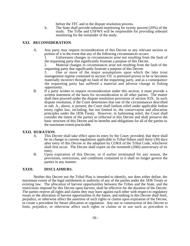before the TFC and in the dispute resolution process.

b. The State shall provide onboard monitoring for twenty percent (20%) of the study. The Tribe and USFWS will be responsible for providing onboard monitoring for the remainder of the study.

#### **XXI. RECONSIDERATION**.

A. Any party may request reconsideration of this Decree or any relevant section or portion of it in the event that any of the following circumstances occurs:

1. Unforeseen changes in circumstances arise not resulting from the fault of the requesting party that significantly frustrate a purpose of this Decree.

2. Material changes in circumstances arise not resulting from the fault of the requesting party that significantly frustrate a purpose of this Decree.

3. One or more of the major assumptions upon which the lake trout management regime contained in section VII. is premised proves to be or becomes materially incorrect through no fault of the requesting party, and as a consequence the requesting party has suffered a material and adverse change in fishing opportunity.

B. If a party wishes to request reconsideration under this section, it must provide a written statement of the basis for reconsideration to all other parties. The matter shall then proceed under the dispute resolution provisions of section XIX. In such dispute resolution, if the Court determines that one of the circumstances described in sub. A., above, is present, the Court shall fashion relief under applicable Indian treaty rights law, including, but not limited to, the conservation and allocation principles under the 1836 Treaty. However, in fashioning relief, the Court shall consider the intent of the parties as reflected in this Decree and shall preserve the basic structure of this Decree and its benefits and obligations for all of the parties to the maximum extent practicable.

#### **XXII. DURATION**.

- A. This Decree shall take effect upon its entry by the Court; provided, that there shall be no change in current regulations applicable to Tribal fishers until thirty (30) days after entry of this Decree or the adoption by CORA of the Tribal Code, whichever shall first occur. The Decree shall expire on the twentieth (20th) anniversary of its entry.
- B. Upon expiration of this Decree, or if earlier terminated for any reason, the provisions, restrictions, and conditions contained in it shall no longer govern the parties in any manner.

#### **XXIII. DISCLAIMERS.**

Neither this Decree nor the Tribal Plan is intended to identify, nor does either define, the maximum extent of the legal entitlement or authority of any of the parties under the 1836 Treaty or existing law. The allocation of harvest opportunities between the Tribes and the State, and the restrictions imposed by this Decree upon harvest, shall be effective for the duration of the Decree. The parties reserve all rights and claims they may have against each other with respect to regulatory issues or the allocation of harvest opportunities in the future, and nothing in this Decree shall limit, prejudice, or otherwise affect the assertion of such rights or claims upon expiration of the Decree, or create a precedent for future allocation or regulation. Any use or construction of this Decree to limit, prejudice, or otherwise affect such rights or claims or to use such as precedent is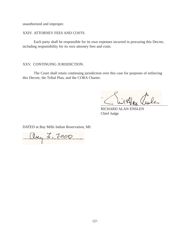unauthorized and improper.

XXIV. ATTORNEY FEES AND COSTS.

Each party shall be responsible for its own expenses incurred in procuring this Decree, including responsibility for its own attorney fees and costs.

XXV. CONTINUING JURISDICTION.

The Court shall retain continuing jurisdiction over this case for purposes of enforcing this Decree, the Tribal Plan, and the CORA Charter.

Alen aule

RICHARD ALAN ENSLEN Chief Judge

DATED at Bay Mills Indian Reservation, MI:

aug I, 2000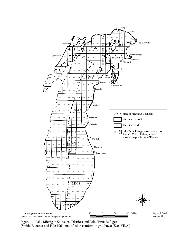

Figure 1. Lake Michigan Statistical Districts and Lake Trout Refuges (Smith, Buettner and Hile 1961, modified to conform to grid lines) (Sec. VII.A.).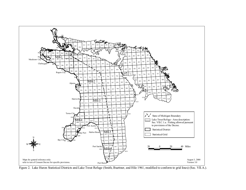

Figure 2. Lake Huron Statistical Districts and Lake Trout Refuge (Smith, Buettner, and Hile 1961, modified to conform to grid lines) (Sec. VII.A.).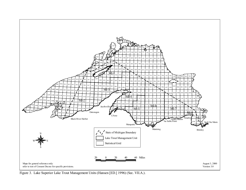

Figure 3. Lake Superior Lake Trout Management Units (Hansen [ED.] 1996) (Sec. VII.A.).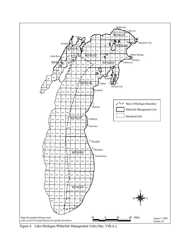

Figure 4. Lake Michigan Whitefish Management Units (Sec. VIII.A.).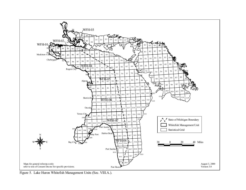

Figure 5. Lake Huron Whitefish Management Units (Sec. VIII.A.).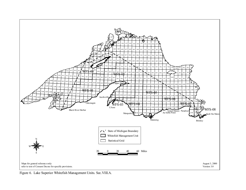

Figure 6. Lake Superior Whitefish Management Units. Sec.VIII.A.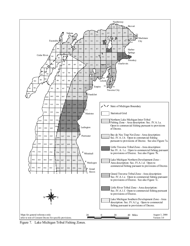

Figure 7. Lake Michigan Tribal Fishing Zones.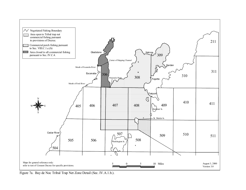

Figure 7a. Bay de Noc Tribal Trap Net Zone Detail (Sec. IV.A.1.b.).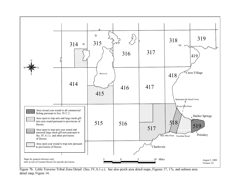

Figure 7b. Little Traverse Tribal Zone Detail (Sec. IV.A.1.c.). See also perch area detail maps, Figures 17, 17c, and salmon area detail map, Figure 14.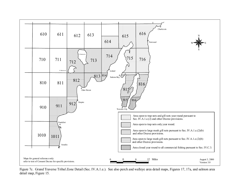

Figure 7c. Grand Traverse Tribal Zone Detail (Sec. IV.A.1.e.). See also perch and walleye area detail maps, Figures 17, 17a, and salmon area detail map, Figure 15.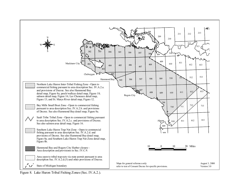

Figure 8. Lake Huron Tribal Fishing Zones (Sec. IV.A.2.).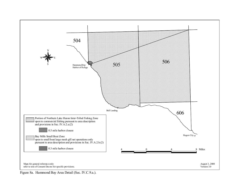

Figure 8a. Hammond Bay Area Detail (Sec. IV.C.9.a.).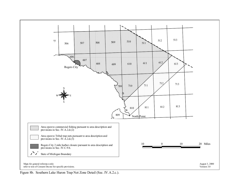

Figure 8b. Southern Lake Huron Trap Net Zone Detail (Sec. IV.A.2.c.).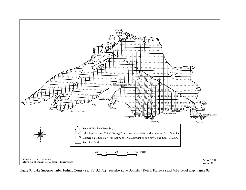

Figure 9. Lake Superior Tribal Fishing Zones (Sec. IV.B.1.A.). See also Zone Boundary Detail, Figure 9a and MI-8 detail map, Figure 9b.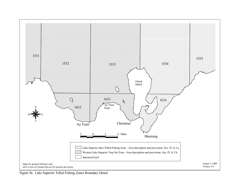

Figure 9a. Lake Superior Tribal Fishing Zones Boundary Detail.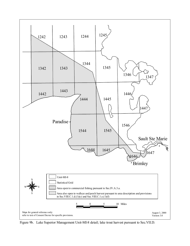

Figure 9b. Lake Superior Management Unit-MI-8 detail; lake trout harvest pursuant to Sec.VII.D.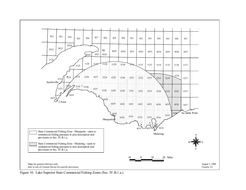

Figure 10. Lake Superior State Commercial Fishing Zones (Sec. IV.B.1.a.).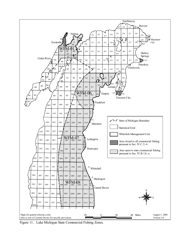

Figure 11. Lake Michigan State Commercial Fishing Zones.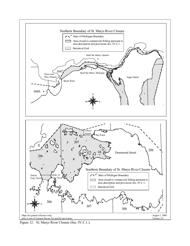

Figure 12. St. Marys River Closure (Sec. IV.C.1.).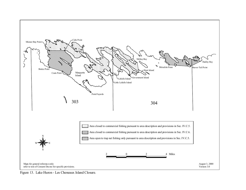

Figure 13. Lake Huron - Les Cheneaux Island Closure.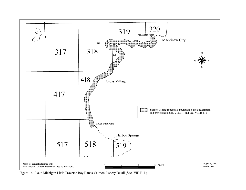

Figure 14. Lake Michigan Little Traverse Bay Bands' Salmon Fishery Detail (Sec. VIII.B.1.).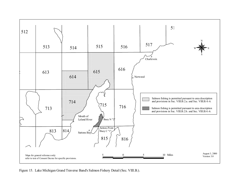

Figure 15. Lake Michigan Grand Traverse Band's Salmon Fishery Detail (Sec. VIII.B.).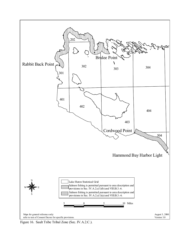

Figure 16. Sault Tribe Tribal Zone (Sec. IV.A.2.C.).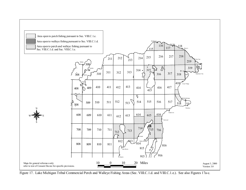

Figure 17. Lake Michigan Tribal Commercial Perch and Walleye Fishing Areas (Sec. VIII.C.1.d. and VIII.C.1.e.). See also Figures 17a-c.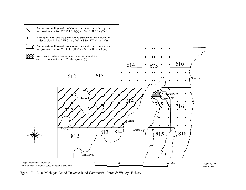

Figure 17a. Lake Michigan Grand Traverse Band Commercial Perch & Walleye Fishery.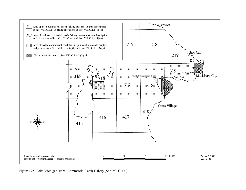

Figure 17b. Lake Michigan Tribal Commercial Perch Fishery (Sec. VII.C.1.e.).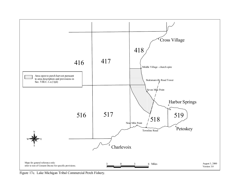

Figure 17c. Lake Michigan Tribal Commercial Perch Fishery.